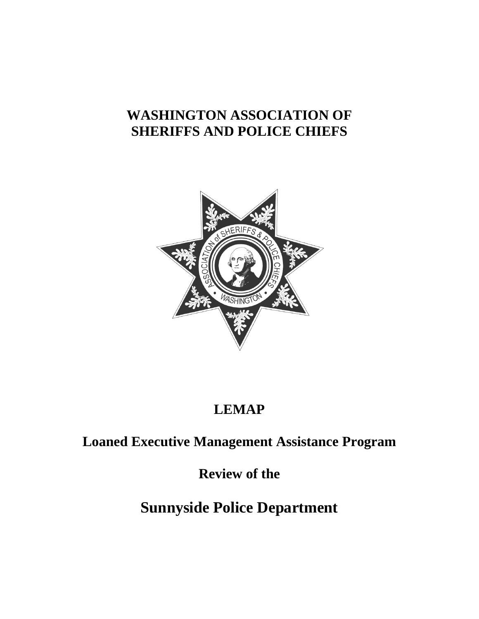# **WASHINGTON ASSOCIATION OF SHERIFFS AND POLICE CHIEFS**



# **LEMAP**

# **Loaned Executive Management Assistance Program**

**Review of the**

# **Sunnyside Police Department**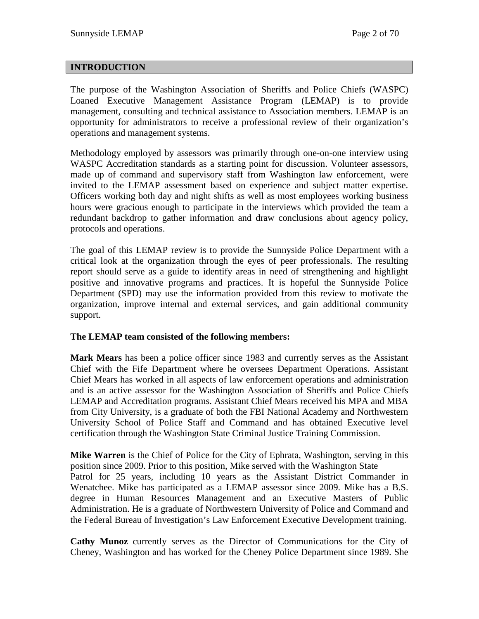## **INTRODUCTION**

The purpose of the Washington Association of Sheriffs and Police Chiefs (WASPC) Loaned Executive Management Assistance Program (LEMAP) is to provide management, consulting and technical assistance to Association members. LEMAP is an opportunity for administrators to receive a professional review of their organization's operations and management systems.

Methodology employed by assessors was primarily through one-on-one interview using WASPC Accreditation standards as a starting point for discussion. Volunteer assessors, made up of command and supervisory staff from Washington law enforcement, were invited to the LEMAP assessment based on experience and subject matter expertise. Officers working both day and night shifts as well as most employees working business hours were gracious enough to participate in the interviews which provided the team a redundant backdrop to gather information and draw conclusions about agency policy, protocols and operations.

The goal of this LEMAP review is to provide the Sunnyside Police Department with a critical look at the organization through the eyes of peer professionals. The resulting report should serve as a guide to identify areas in need of strengthening and highlight positive and innovative programs and practices. It is hopeful the Sunnyside Police Department (SPD) may use the information provided from this review to motivate the organization, improve internal and external services, and gain additional community support.

#### **The LEMAP team consisted of the following members:**

**Mark Mears** has been a police officer since 1983 and currently serves as the Assistant Chief with the Fife Department where he oversees Department Operations. Assistant Chief Mears has worked in all aspects of law enforcement operations and administration and is an active assessor for the Washington Association of Sheriffs and Police Chiefs LEMAP and Accreditation programs. Assistant Chief Mears received his MPA and MBA from City University, is a graduate of both the FBI National Academy and Northwestern University School of Police Staff and Command and has obtained Executive level certification through the Washington State Criminal Justice Training Commission.

**Mike Warren** is the Chief of Police for the City of Ephrata, Washington, serving in this position since 2009. Prior to this position, Mike served with the Washington State Patrol for 25 years, including 10 years as the Assistant District Commander in Wenatchee. Mike has participated as a LEMAP assessor since 2009. Mike has a B.S. degree in Human Resources Management and an Executive Masters of Public Administration. He is a graduate of Northwestern University of Police and Command and the Federal Bureau of Investigation's Law Enforcement Executive Development training.

**Cathy Munoz** currently serves as the Director of Communications for the City of Cheney, Washington and has worked for the Cheney Police Department since 1989. She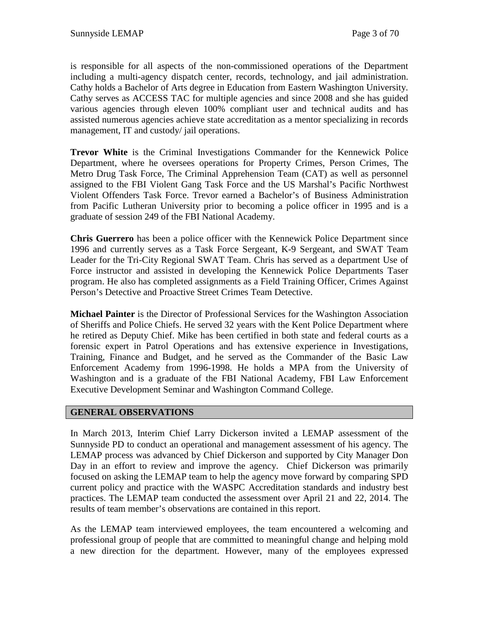is responsible for all aspects of the non-commissioned operations of the Department including a multi-agency dispatch center, records, technology, and jail administration. Cathy holds a Bachelor of Arts degree in Education from Eastern Washington University. Cathy serves as ACCESS TAC for multiple agencies and since 2008 and she has guided various agencies through eleven 100% compliant user and technical audits and has assisted numerous agencies achieve state accreditation as a mentor specializing in records management, IT and custody/ jail operations.

**Trevor White** is the Criminal Investigations Commander for the Kennewick Police Department, where he oversees operations for Property Crimes, Person Crimes, The Metro Drug Task Force, The Criminal Apprehension Team (CAT) as well as personnel assigned to the FBI Violent Gang Task Force and the US Marshal's Pacific Northwest Violent Offenders Task Force. Trevor earned a Bachelor's of Business Administration from Pacific Lutheran University prior to becoming a police officer in 1995 and is a graduate of session 249 of the FBI National Academy.

**Chris Guerrero** has been a police officer with the Kennewick Police Department since 1996 and currently serves as a Task Force Sergeant, K-9 Sergeant, and SWAT Team Leader for the Tri-City Regional SWAT Team. Chris has served as a department Use of Force instructor and assisted in developing the Kennewick Police Departments Taser program. He also has completed assignments as a Field Training Officer, Crimes Against Person's Detective and Proactive Street Crimes Team Detective.

**Michael Painter** is the Director of Professional Services for the Washington Association of Sheriffs and Police Chiefs. He served 32 years with the Kent Police Department where he retired as Deputy Chief. Mike has been certified in both state and federal courts as a forensic expert in Patrol Operations and has extensive experience in Investigations, Training, Finance and Budget, and he served as the Commander of the Basic Law Enforcement Academy from 1996-1998. He holds a MPA from the University of Washington and is a graduate of the FBI National Academy, FBI Law Enforcement Executive Development Seminar and Washington Command College.

## **GENERAL OBSERVATIONS**

In March 2013, Interim Chief Larry Dickerson invited a LEMAP assessment of the Sunnyside PD to conduct an operational and management assessment of his agency. The LEMAP process was advanced by Chief Dickerson and supported by City Manager Don Day in an effort to review and improve the agency. Chief Dickerson was primarily focused on asking the LEMAP team to help the agency move forward by comparing SPD current policy and practice with the WASPC Accreditation standards and industry best practices. The LEMAP team conducted the assessment over April 21 and 22, 2014. The results of team member's observations are contained in this report.

As the LEMAP team interviewed employees, the team encountered a welcoming and professional group of people that are committed to meaningful change and helping mold a new direction for the department. However, many of the employees expressed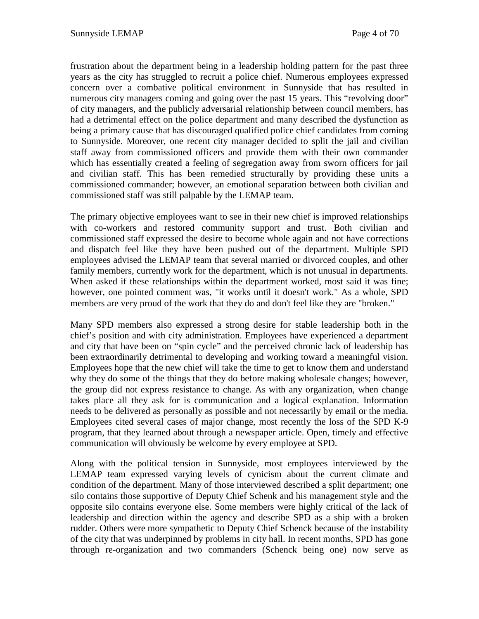frustration about the department being in a leadership holding pattern for the past three years as the city has struggled to recruit a police chief. Numerous employees expressed concern over a combative political environment in Sunnyside that has resulted in numerous city managers coming and going over the past 15 years. This "revolving door" of city managers, and the publicly adversarial relationship between council members, has had a detrimental effect on the police department and many described the dysfunction as being a primary cause that has discouraged qualified police chief candidates from coming to Sunnyside. Moreover, one recent city manager decided to split the jail and civilian staff away from commissioned officers and provide them with their own commander which has essentially created a feeling of segregation away from sworn officers for jail and civilian staff. This has been remedied structurally by providing these units a commissioned commander; however, an emotional separation between both civilian and commissioned staff was still palpable by the LEMAP team.

The primary objective employees want to see in their new chief is improved relationships with co-workers and restored community support and trust. Both civilian and commissioned staff expressed the desire to become whole again and not have corrections and dispatch feel like they have been pushed out of the department. Multiple SPD employees advised the LEMAP team that several married or divorced couples, and other family members, currently work for the department, which is not unusual in departments. When asked if these relationships within the department worked, most said it was fine; however, one pointed comment was, "it works until it doesn't work." As a whole, SPD members are very proud of the work that they do and don't feel like they are "broken."

Many SPD members also expressed a strong desire for stable leadership both in the chief's position and with city administration. Employees have experienced a department and city that have been on "spin cycle" and the perceived chronic lack of leadership has been extraordinarily detrimental to developing and working toward a meaningful vision. Employees hope that the new chief will take the time to get to know them and understand why they do some of the things that they do before making wholesale changes; however, the group did not express resistance to change. As with any organization, when change takes place all they ask for is communication and a logical explanation. Information needs to be delivered as personally as possible and not necessarily by email or the media. Employees cited several cases of major change, most recently the loss of the SPD K-9 program, that they learned about through a newspaper article. Open, timely and effective communication will obviously be welcome by every employee at SPD.

Along with the political tension in Sunnyside, most employees interviewed by the LEMAP team expressed varying levels of cynicism about the current climate and condition of the department. Many of those interviewed described a split department; one silo contains those supportive of Deputy Chief Schenk and his management style and the opposite silo contains everyone else. Some members were highly critical of the lack of leadership and direction within the agency and describe SPD as a ship with a broken rudder. Others were more sympathetic to Deputy Chief Schenck because of the instability of the city that was underpinned by problems in city hall. In recent months, SPD has gone through re-organization and two commanders (Schenck being one) now serve as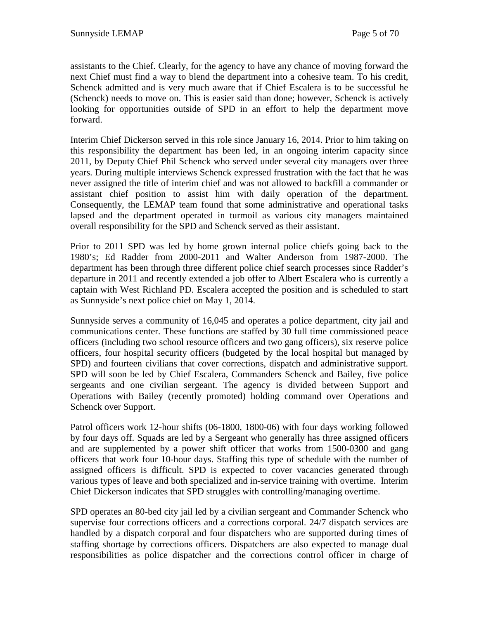assistants to the Chief. Clearly, for the agency to have any chance of moving forward the next Chief must find a way to blend the department into a cohesive team. To his credit, Schenck admitted and is very much aware that if Chief Escalera is to be successful he (Schenck) needs to move on. This is easier said than done; however, Schenck is actively looking for opportunities outside of SPD in an effort to help the department move forward.

Interim Chief Dickerson served in this role since January 16, 2014. Prior to him taking on this responsibility the department has been led, in an ongoing interim capacity since 2011, by Deputy Chief Phil Schenck who served under several city managers over three years. During multiple interviews Schenck expressed frustration with the fact that he was never assigned the title of interim chief and was not allowed to backfill a commander or assistant chief position to assist him with daily operation of the department. Consequently, the LEMAP team found that some administrative and operational tasks lapsed and the department operated in turmoil as various city managers maintained overall responsibility for the SPD and Schenck served as their assistant.

Prior to 2011 SPD was led by home grown internal police chiefs going back to the 1980's; Ed Radder from 2000-2011 and Walter Anderson from 1987-2000. The department has been through three different police chief search processes since Radder's departure in 2011 and recently extended a job offer to Albert Escalera who is currently a captain with West Richland PD. Escalera accepted the position and is scheduled to start as Sunnyside's next police chief on May 1, 2014.

Sunnyside serves a community of 16,045 and operates a police department, city jail and communications center. These functions are staffed by 30 full time commissioned peace officers (including two school resource officers and two gang officers), six reserve police officers, four hospital security officers (budgeted by the local hospital but managed by SPD) and fourteen civilians that cover corrections, dispatch and administrative support. SPD will soon be led by Chief Escalera, Commanders Schenck and Bailey, five police sergeants and one civilian sergeant. The agency is divided between Support and Operations with Bailey (recently promoted) holding command over Operations and Schenck over Support.

Patrol officers work 12-hour shifts (06-1800, 1800-06) with four days working followed by four days off. Squads are led by a Sergeant who generally has three assigned officers and are supplemented by a power shift officer that works from 1500-0300 and gang officers that work four 10-hour days. Staffing this type of schedule with the number of assigned officers is difficult. SPD is expected to cover vacancies generated through various types of leave and both specialized and in-service training with overtime. Interim Chief Dickerson indicates that SPD struggles with controlling/managing overtime.

SPD operates an 80-bed city jail led by a civilian sergeant and Commander Schenck who supervise four corrections officers and a corrections corporal. 24/7 dispatch services are handled by a dispatch corporal and four dispatchers who are supported during times of staffing shortage by corrections officers. Dispatchers are also expected to manage dual responsibilities as police dispatcher and the corrections control officer in charge of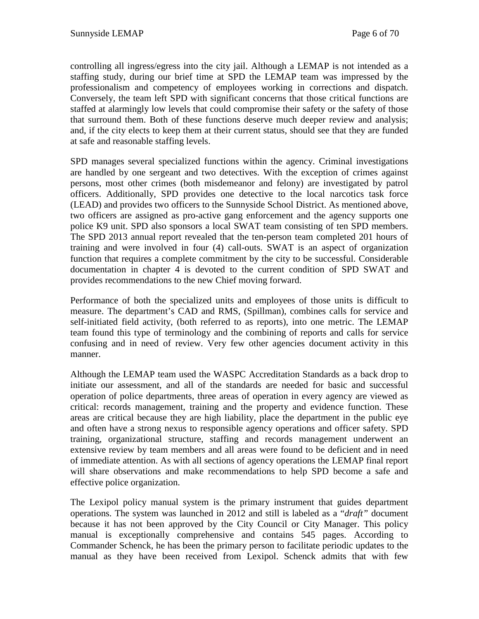controlling all ingress/egress into the city jail. Although a LEMAP is not intended as a staffing study, during our brief time at SPD the LEMAP team was impressed by the professionalism and competency of employees working in corrections and dispatch. Conversely, the team left SPD with significant concerns that those critical functions are staffed at alarmingly low levels that could compromise their safety or the safety of those that surround them. Both of these functions deserve much deeper review and analysis; and, if the city elects to keep them at their current status, should see that they are funded at safe and reasonable staffing levels.

SPD manages several specialized functions within the agency. Criminal investigations are handled by one sergeant and two detectives. With the exception of crimes against persons, most other crimes (both misdemeanor and felony) are investigated by patrol officers. Additionally, SPD provides one detective to the local narcotics task force (LEAD) and provides two officers to the Sunnyside School District. As mentioned above, two officers are assigned as pro-active gang enforcement and the agency supports one police K9 unit. SPD also sponsors a local SWAT team consisting of ten SPD members. The SPD 2013 annual report revealed that the ten-person team completed 201 hours of training and were involved in four (4) call-outs. SWAT is an aspect of organization function that requires a complete commitment by the city to be successful. Considerable documentation in chapter 4 is devoted to the current condition of SPD SWAT and provides recommendations to the new Chief moving forward.

Performance of both the specialized units and employees of those units is difficult to measure. The department's CAD and RMS, (Spillman), combines calls for service and self-initiated field activity, (both referred to as reports), into one metric. The LEMAP team found this type of terminology and the combining of reports and calls for service confusing and in need of review. Very few other agencies document activity in this manner.

Although the LEMAP team used the WASPC Accreditation Standards as a back drop to initiate our assessment, and all of the standards are needed for basic and successful operation of police departments, three areas of operation in every agency are viewed as critical: records management, training and the property and evidence function. These areas are critical because they are high liability, place the department in the public eye and often have a strong nexus to responsible agency operations and officer safety. SPD training, organizational structure, staffing and records management underwent an extensive review by team members and all areas were found to be deficient and in need of immediate attention. As with all sections of agency operations the LEMAP final report will share observations and make recommendations to help SPD become a safe and effective police organization.

The Lexipol policy manual system is the primary instrument that guides department operations. The system was launched in 2012 and still is labeled as a "*draft"* document because it has not been approved by the City Council or City Manager. This policy manual is exceptionally comprehensive and contains 545 pages. According to Commander Schenck, he has been the primary person to facilitate periodic updates to the manual as they have been received from Lexipol. Schenck admits that with few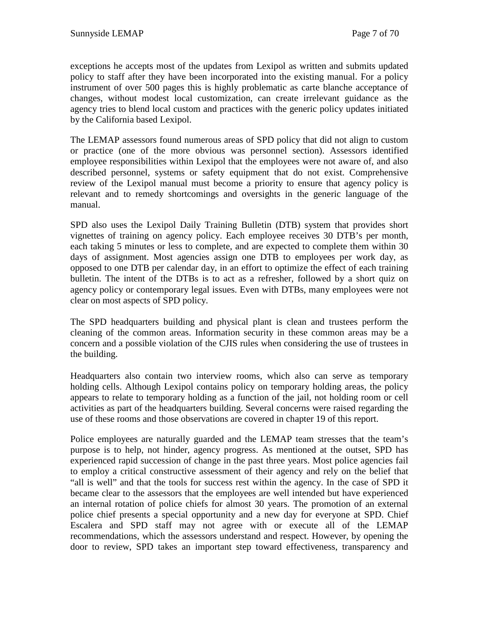exceptions he accepts most of the updates from Lexipol as written and submits updated policy to staff after they have been incorporated into the existing manual. For a policy instrument of over 500 pages this is highly problematic as carte blanche acceptance of changes, without modest local customization, can create irrelevant guidance as the agency tries to blend local custom and practices with the generic policy updates initiated by the California based Lexipol.

The LEMAP assessors found numerous areas of SPD policy that did not align to custom or practice (one of the more obvious was personnel section). Assessors identified employee responsibilities within Lexipol that the employees were not aware of, and also described personnel, systems or safety equipment that do not exist. Comprehensive review of the Lexipol manual must become a priority to ensure that agency policy is relevant and to remedy shortcomings and oversights in the generic language of the manual.

SPD also uses the Lexipol Daily Training Bulletin (DTB) system that provides short vignettes of training on agency policy. Each employee receives 30 DTB's per month, each taking 5 minutes or less to complete, and are expected to complete them within 30 days of assignment. Most agencies assign one DTB to employees per work day, as opposed to one DTB per calendar day, in an effort to optimize the effect of each training bulletin. The intent of the DTBs is to act as a refresher, followed by a short quiz on agency policy or contemporary legal issues. Even with DTBs, many employees were not clear on most aspects of SPD policy.

The SPD headquarters building and physical plant is clean and trustees perform the cleaning of the common areas. Information security in these common areas may be a concern and a possible violation of the CJIS rules when considering the use of trustees in the building.

Headquarters also contain two interview rooms, which also can serve as temporary holding cells. Although Lexipol contains policy on temporary holding areas, the policy appears to relate to temporary holding as a function of the jail, not holding room or cell activities as part of the headquarters building. Several concerns were raised regarding the use of these rooms and those observations are covered in chapter 19 of this report.

Police employees are naturally guarded and the LEMAP team stresses that the team's purpose is to help, not hinder, agency progress. As mentioned at the outset, SPD has experienced rapid succession of change in the past three years. Most police agencies fail to employ a critical constructive assessment of their agency and rely on the belief that "all is well" and that the tools for success rest within the agency. In the case of SPD it became clear to the assessors that the employees are well intended but have experienced an internal rotation of police chiefs for almost 30 years. The promotion of an external police chief presents a special opportunity and a new day for everyone at SPD. Chief Escalera and SPD staff may not agree with or execute all of the LEMAP recommendations, which the assessors understand and respect. However, by opening the door to review, SPD takes an important step toward effectiveness, transparency and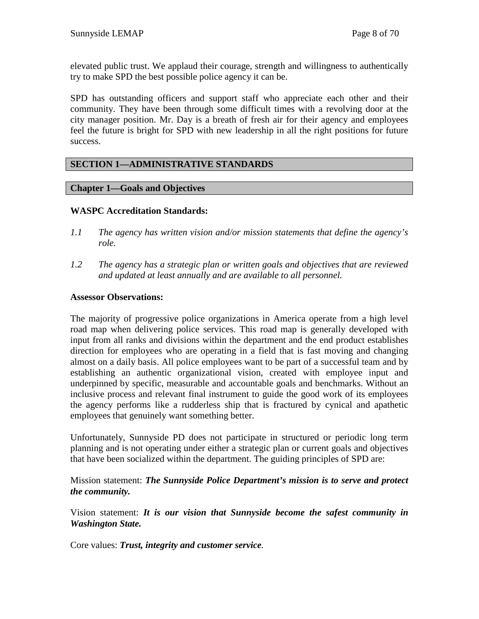elevated public trust. We applaud their courage, strength and willingness to authentically try to make SPD the best possible police agency it can be.

SPD has outstanding officers and support staff who appreciate each other and their community. They have been through some difficult times with a revolving door at the city manager position. Mr. Day is a breath of fresh air for their agency and employees feel the future is bright for SPD with new leadership in all the right positions for future success.

## **SECTION 1—ADMINISTRATIVE STANDARDS**

## **Chapter 1—Goals and Objectives**

## **WASPC Accreditation Standards:**

- *1.1 The agency has written vision and/or mission statements that define the agency's role.*
- *1.2 The agency has a strategic plan or written goals and objectives that are reviewed and updated at least annually and are available to all personnel.*

## **Assessor Observations:**

The majority of progressive police organizations in America operate from a high level road map when delivering police services. This road map is generally developed with input from all ranks and divisions within the department and the end product establishes direction for employees who are operating in a field that is fast moving and changing almost on a daily basis. All police employees want to be part of a successful team and by establishing an authentic organizational vision, created with employee input and underpinned by specific, measurable and accountable goals and benchmarks. Without an inclusive process and relevant final instrument to guide the good work of its employees the agency performs like a rudderless ship that is fractured by cynical and apathetic employees that genuinely want something better.

Unfortunately, Sunnyside PD does not participate in structured or periodic long term planning and is not operating under either a strategic plan or current goals and objectives that have been socialized within the department. The guiding principles of SPD are:

Mission statement: *The Sunnyside Police Department's mission is to serve and protect the community.*

Vision statement: *It is our vision that Sunnyside become the safest community in Washington State.*

Core values: *Trust, integrity and customer service.*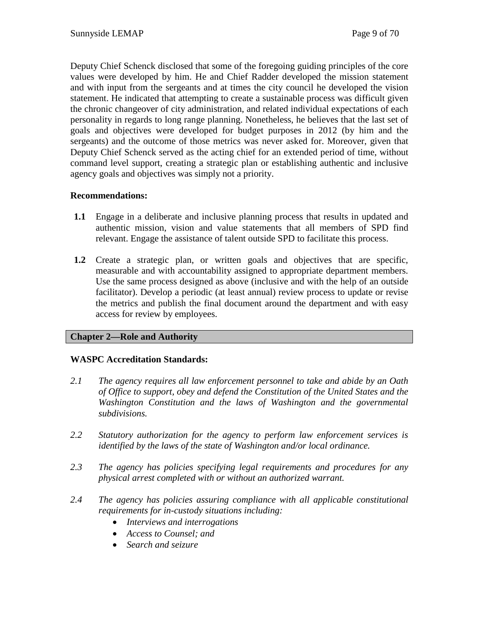Deputy Chief Schenck disclosed that some of the foregoing guiding principles of the core values were developed by him. He and Chief Radder developed the mission statement and with input from the sergeants and at times the city council he developed the vision statement. He indicated that attempting to create a sustainable process was difficult given the chronic changeover of city administration, and related individual expectations of each personality in regards to long range planning. Nonetheless, he believes that the last set of goals and objectives were developed for budget purposes in 2012 (by him and the sergeants) and the outcome of those metrics was never asked for. Moreover, given that Deputy Chief Schenck served as the acting chief for an extended period of time, without command level support, creating a strategic plan or establishing authentic and inclusive agency goals and objectives was simply not a priority.

## **Recommendations:**

- **1.1** Engage in a deliberate and inclusive planning process that results in updated and authentic mission, vision and value statements that all members of SPD find relevant. Engage the assistance of talent outside SPD to facilitate this process.
- **1.2** Create a strategic plan, or written goals and objectives that are specific, measurable and with accountability assigned to appropriate department members. Use the same process designed as above (inclusive and with the help of an outside facilitator). Develop a periodic (at least annual) review process to update or revise the metrics and publish the final document around the department and with easy access for review by employees.

# **Chapter 2—Role and Authority**

# **WASPC Accreditation Standards:**

- *2.1 The agency requires all law enforcement personnel to take and abide by an Oath of Office to support, obey and defend the Constitution of the United States and the Washington Constitution and the laws of Washington and the governmental subdivisions.*
- *2.2 Statutory authorization for the agency to perform law enforcement services is identified by the laws of the state of Washington and/or local ordinance.*
- *2.3 The agency has policies specifying legal requirements and procedures for any physical arrest completed with or without an authorized warrant.*
- *2.4 The agency has policies assuring compliance with all applicable constitutional requirements for in-custody situations including:*
	- *Interviews and interrogations*
	- *Access to Counsel; and*
	- *Search and seizure*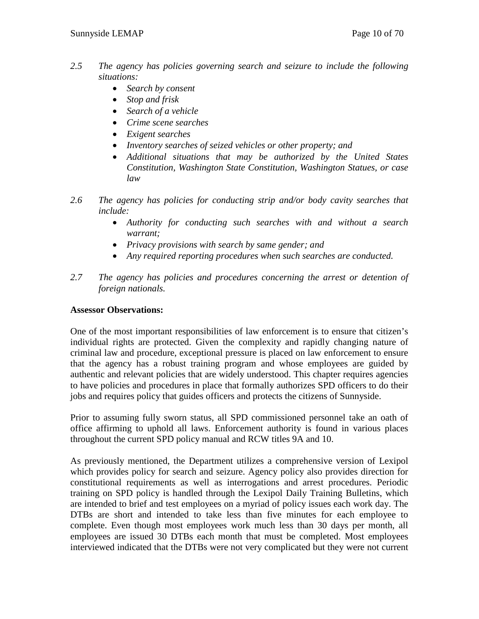- *2.5 The agency has policies governing search and seizure to include the following situations:*
	- *Search by consent*
	- *Stop and frisk*
	- *Search of a vehicle*
	- *Crime scene searches*
	- *Exigent searches*
	- *Inventory searches of seized vehicles or other property; and*
	- *Additional situations that may be authorized by the United States Constitution, Washington State Constitution, Washington Statues, or case law*
- *2.6 The agency has policies for conducting strip and/or body cavity searches that include:*
	- *Authority for conducting such searches with and without a search warrant;*
	- *Privacy provisions with search by same gender; and*
	- *Any required reporting procedures when such searches are conducted.*
- *2.7 The agency has policies and procedures concerning the arrest or detention of foreign nationals.*

## **Assessor Observations:**

One of the most important responsibilities of law enforcement is to ensure that citizen's individual rights are protected. Given the complexity and rapidly changing nature of criminal law and procedure, exceptional pressure is placed on law enforcement to ensure that the agency has a robust training program and whose employees are guided by authentic and relevant policies that are widely understood. This chapter requires agencies to have policies and procedures in place that formally authorizes SPD officers to do their jobs and requires policy that guides officers and protects the citizens of Sunnyside.

Prior to assuming fully sworn status, all SPD commissioned personnel take an oath of office affirming to uphold all laws. Enforcement authority is found in various places throughout the current SPD policy manual and RCW titles 9A and 10.

As previously mentioned, the Department utilizes a comprehensive version of Lexipol which provides policy for search and seizure. Agency policy also provides direction for constitutional requirements as well as interrogations and arrest procedures. Periodic training on SPD policy is handled through the Lexipol Daily Training Bulletins, which are intended to brief and test employees on a myriad of policy issues each work day. The DTBs are short and intended to take less than five minutes for each employee to complete. Even though most employees work much less than 30 days per month, all employees are issued 30 DTBs each month that must be completed. Most employees interviewed indicated that the DTBs were not very complicated but they were not current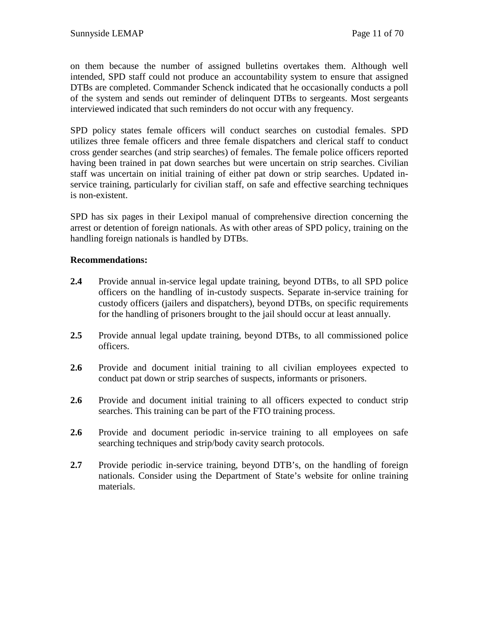on them because the number of assigned bulletins overtakes them. Although well intended, SPD staff could not produce an accountability system to ensure that assigned DTBs are completed. Commander Schenck indicated that he occasionally conducts a poll of the system and sends out reminder of delinquent DTBs to sergeants. Most sergeants interviewed indicated that such reminders do not occur with any frequency.

SPD policy states female officers will conduct searches on custodial females. SPD utilizes three female officers and three female dispatchers and clerical staff to conduct cross gender searches (and strip searches) of females. The female police officers reported having been trained in pat down searches but were uncertain on strip searches. Civilian staff was uncertain on initial training of either pat down or strip searches. Updated inservice training, particularly for civilian staff, on safe and effective searching techniques is non-existent.

SPD has six pages in their Lexipol manual of comprehensive direction concerning the arrest or detention of foreign nationals. As with other areas of SPD policy, training on the handling foreign nationals is handled by DTBs.

## **Recommendations:**

- **2.4** Provide annual in-service legal update training, beyond DTBs, to all SPD police officers on the handling of in-custody suspects. Separate in-service training for custody officers (jailers and dispatchers), beyond DTBs, on specific requirements for the handling of prisoners brought to the jail should occur at least annually.
- **2.5** Provide annual legal update training, beyond DTBs, to all commissioned police officers.
- **2.6** Provide and document initial training to all civilian employees expected to conduct pat down or strip searches of suspects, informants or prisoners.
- **2.6** Provide and document initial training to all officers expected to conduct strip searches. This training can be part of the FTO training process.
- **2.6** Provide and document periodic in-service training to all employees on safe searching techniques and strip/body cavity search protocols.
- **2.7** Provide periodic in-service training, beyond DTB's, on the handling of foreign nationals. Consider using the Department of State's website for online training materials.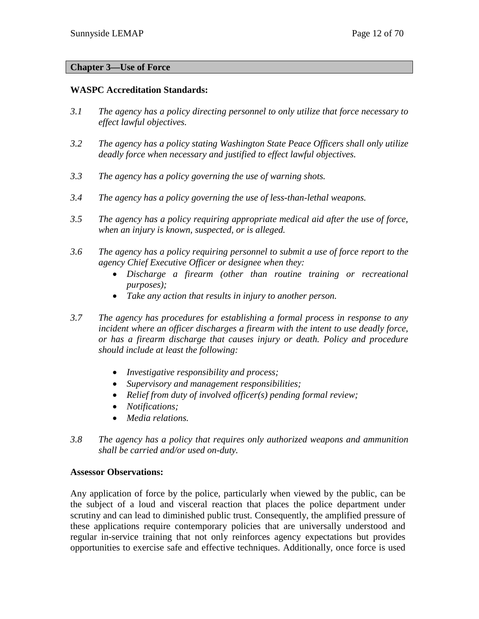## **Chapter 3—Use of Force**

## **WASPC Accreditation Standards:**

- *3.1 The agency has a policy directing personnel to only utilize that force necessary to effect lawful objectives.*
- *3.2 The agency has a policy stating Washington State Peace Officers shall only utilize deadly force when necessary and justified to effect lawful objectives.*
- *3.3 The agency has a policy governing the use of warning shots.*
- *3.4 The agency has a policy governing the use of less-than-lethal weapons.*
- *3.5 The agency has a policy requiring appropriate medical aid after the use of force, when an injury is known, suspected, or is alleged.*
- *3.6 The agency has a policy requiring personnel to submit a use of force report to the agency Chief Executive Officer or designee when they:*
	- *Discharge a firearm (other than routine training or recreational purposes);*
	- *Take any action that results in injury to another person.*
- *3.7 The agency has procedures for establishing a formal process in response to any incident where an officer discharges a firearm with the intent to use deadly force, or has a firearm discharge that causes injury or death. Policy and procedure should include at least the following:*
	- *Investigative responsibility and process;*
	- *Supervisory and management responsibilities;*
	- *Relief from duty of involved officer(s) pending formal review;*
	- *Notifications;*
	- *Media relations.*
- *3.8 The agency has a policy that requires only authorized weapons and ammunition shall be carried and/or used on-duty.*

#### **Assessor Observations:**

Any application of force by the police, particularly when viewed by the public, can be the subject of a loud and visceral reaction that places the police department under scrutiny and can lead to diminished public trust. Consequently, the amplified pressure of these applications require contemporary policies that are universally understood and regular in-service training that not only reinforces agency expectations but provides opportunities to exercise safe and effective techniques. Additionally, once force is used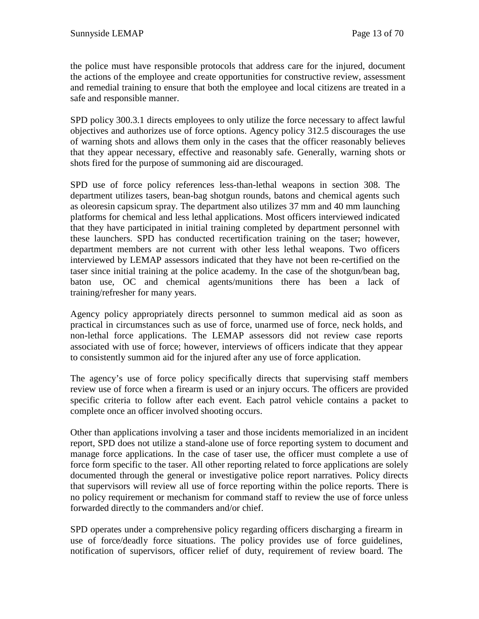the police must have responsible protocols that address care for the injured, document the actions of the employee and create opportunities for constructive review, assessment and remedial training to ensure that both the employee and local citizens are treated in a safe and responsible manner.

SPD policy 300.3.1 directs employees to only utilize the force necessary to affect lawful objectives and authorizes use of force options. Agency policy 312.5 discourages the use of warning shots and allows them only in the cases that the officer reasonably believes that they appear necessary, effective and reasonably safe. Generally, warning shots or shots fired for the purpose of summoning aid are discouraged.

SPD use of force policy references less-than-lethal weapons in section 308. The department utilizes tasers, bean-bag shotgun rounds, batons and chemical agents such as oleoresin capsicum spray. The department also utilizes 37 mm and 40 mm launching platforms for chemical and less lethal applications. Most officers interviewed indicated that they have participated in initial training completed by department personnel with these launchers. SPD has conducted recertification training on the taser; however, department members are not current with other less lethal weapons. Two officers interviewed by LEMAP assessors indicated that they have not been re-certified on the taser since initial training at the police academy. In the case of the shotgun/bean bag, baton use, OC and chemical agents/munitions there has been a lack of training/refresher for many years.

Agency policy appropriately directs personnel to summon medical aid as soon as practical in circumstances such as use of force, unarmed use of force, neck holds, and non-lethal force applications. The LEMAP assessors did not review case reports associated with use of force; however, interviews of officers indicate that they appear to consistently summon aid for the injured after any use of force application.

The agency's use of force policy specifically directs that supervising staff members review use of force when a firearm is used or an injury occurs. The officers are provided specific criteria to follow after each event. Each patrol vehicle contains a packet to complete once an officer involved shooting occurs.

Other than applications involving a taser and those incidents memorialized in an incident report, SPD does not utilize a stand-alone use of force reporting system to document and manage force applications. In the case of taser use, the officer must complete a use of force form specific to the taser. All other reporting related to force applications are solely documented through the general or investigative police report narratives. Policy directs that supervisors will review all use of force reporting within the police reports. There is no policy requirement or mechanism for command staff to review the use of force unless forwarded directly to the commanders and/or chief.

SPD operates under a comprehensive policy regarding officers discharging a firearm in use of force/deadly force situations. The policy provides use of force guidelines, notification of supervisors, officer relief of duty, requirement of review board. The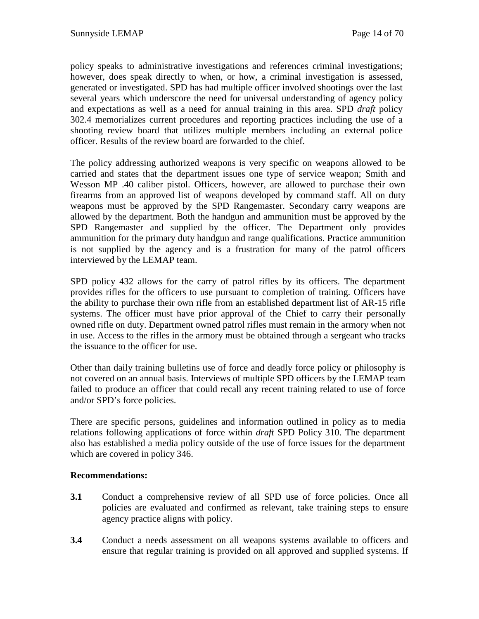policy speaks to administrative investigations and references criminal investigations; however, does speak directly to when, or how, a criminal investigation is assessed, generated or investigated. SPD has had multiple officer involved shootings over the last several years which underscore the need for universal understanding of agency policy and expectations as well as a need for annual training in this area. SPD *draft* policy 302.4 memorializes current procedures and reporting practices including the use of a shooting review board that utilizes multiple members including an external police officer. Results of the review board are forwarded to the chief.

The policy addressing authorized weapons is very specific on weapons allowed to be carried and states that the department issues one type of service weapon; Smith and Wesson MP .40 caliber pistol. Officers, however, are allowed to purchase their own firearms from an approved list of weapons developed by command staff. All on duty weapons must be approved by the SPD Rangemaster. Secondary carry weapons are allowed by the department. Both the handgun and ammunition must be approved by the SPD Rangemaster and supplied by the officer. The Department only provides ammunition for the primary duty handgun and range qualifications. Practice ammunition is not supplied by the agency and is a frustration for many of the patrol officers interviewed by the LEMAP team.

SPD policy 432 allows for the carry of patrol rifles by its officers. The department provides rifles for the officers to use pursuant to completion of training. Officers have the ability to purchase their own rifle from an established department list of AR-15 rifle systems. The officer must have prior approval of the Chief to carry their personally owned rifle on duty. Department owned patrol rifles must remain in the armory when not in use. Access to the rifles in the armory must be obtained through a sergeant who tracks the issuance to the officer for use.

Other than daily training bulletins use of force and deadly force policy or philosophy is not covered on an annual basis. Interviews of multiple SPD officers by the LEMAP team failed to produce an officer that could recall any recent training related to use of force and/or SPD's force policies.

There are specific persons, guidelines and information outlined in policy as to media relations following applications of force within *draft* SPD Policy 310. The department also has established a media policy outside of the use of force issues for the department which are covered in policy 346.

## **Recommendations:**

- **3.1** Conduct a comprehensive review of all SPD use of force policies. Once all policies are evaluated and confirmed as relevant, take training steps to ensure agency practice aligns with policy.
- **3.4** Conduct a needs assessment on all weapons systems available to officers and ensure that regular training is provided on all approved and supplied systems. If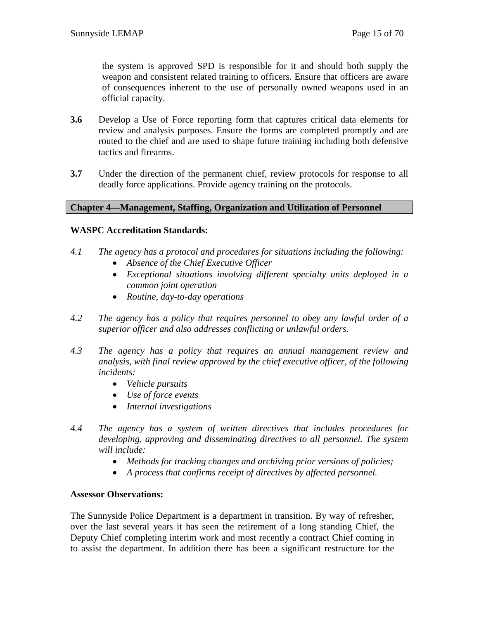the system is approved SPD is responsible for it and should both supply the weapon and consistent related training to officers. Ensure that officers are aware of consequences inherent to the use of personally owned weapons used in an official capacity.

- **3.6** Develop a Use of Force reporting form that captures critical data elements for review and analysis purposes. Ensure the forms are completed promptly and are routed to the chief and are used to shape future training including both defensive tactics and firearms.
- **3.7** Under the direction of the permanent chief, review protocols for response to all deadly force applications. Provide agency training on the protocols.

#### **Chapter 4—Management, Staffing, Organization and Utilization of Personnel**

## **WASPC Accreditation Standards:**

- *4.1 The agency has a protocol and procedures for situations including the following:*
	- *Absence of the Chief Executive Officer*
	- *Exceptional situations involving different specialty units deployed in a common joint operation*
	- *Routine, day-to-day operations*
- *4.2 The agency has a policy that requires personnel to obey any lawful order of a superior officer and also addresses conflicting or unlawful orders.*
- *4.3 The agency has a policy that requires an annual management review and analysis, with final review approved by the chief executive officer, of the following incidents:*
	- *Vehicle pursuits*
	- *Use of force events*
	- *Internal investigations*
- *4.4 The agency has a system of written directives that includes procedures for developing, approving and disseminating directives to all personnel. The system will include:*
	- *Methods for tracking changes and archiving prior versions of policies;*
	- *A process that confirms receipt of directives by affected personnel.*

#### **Assessor Observations:**

The Sunnyside Police Department is a department in transition. By way of refresher, over the last several years it has seen the retirement of a long standing Chief, the Deputy Chief completing interim work and most recently a contract Chief coming in to assist the department. In addition there has been a significant restructure for the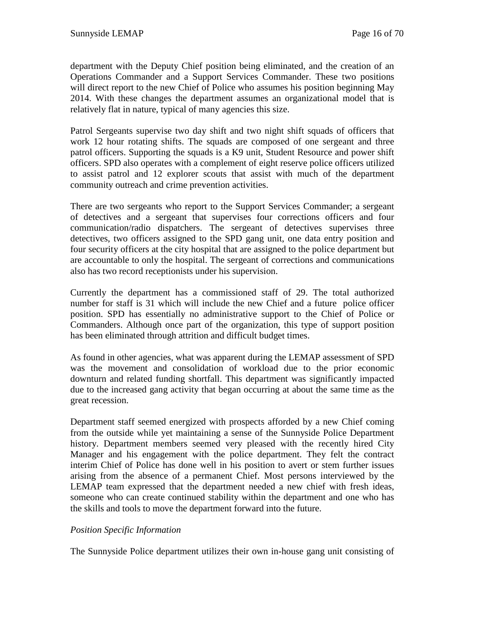department with the Deputy Chief position being eliminated, and the creation of an Operations Commander and a Support Services Commander. These two positions will direct report to the new Chief of Police who assumes his position beginning May 2014. With these changes the department assumes an organizational model that is relatively flat in nature, typical of many agencies this size.

Patrol Sergeants supervise two day shift and two night shift squads of officers that work 12 hour rotating shifts. The squads are composed of one sergeant and three patrol officers. Supporting the squads is a K9 unit, Student Resource and power shift officers. SPD also operates with a complement of eight reserve police officers utilized to assist patrol and 12 explorer scouts that assist with much of the department community outreach and crime prevention activities.

There are two sergeants who report to the Support Services Commander; a sergeant of detectives and a sergeant that supervises four corrections officers and four communication/radio dispatchers. The sergeant of detectives supervises three detectives, two officers assigned to the SPD gang unit, one data entry position and four security officers at the city hospital that are assigned to the police department but are accountable to only the hospital. The sergeant of corrections and communications also has two record receptionists under his supervision.

Currently the department has a commissioned staff of 29. The total authorized number for staff is 31 which will include the new Chief and a future police officer position. SPD has essentially no administrative support to the Chief of Police or Commanders. Although once part of the organization, this type of support position has been eliminated through attrition and difficult budget times.

As found in other agencies, what was apparent during the LEMAP assessment of SPD was the movement and consolidation of workload due to the prior economic downturn and related funding shortfall. This department was significantly impacted due to the increased gang activity that began occurring at about the same time as the great recession.

Department staff seemed energized with prospects afforded by a new Chief coming from the outside while yet maintaining a sense of the Sunnyside Police Department history. Department members seemed very pleased with the recently hired City Manager and his engagement with the police department. They felt the contract interim Chief of Police has done well in his position to avert or stem further issues arising from the absence of a permanent Chief. Most persons interviewed by the LEMAP team expressed that the department needed a new chief with fresh ideas, someone who can create continued stability within the department and one who has the skills and tools to move the department forward into the future.

## *Position Specific Information*

The Sunnyside Police department utilizes their own in-house gang unit consisting of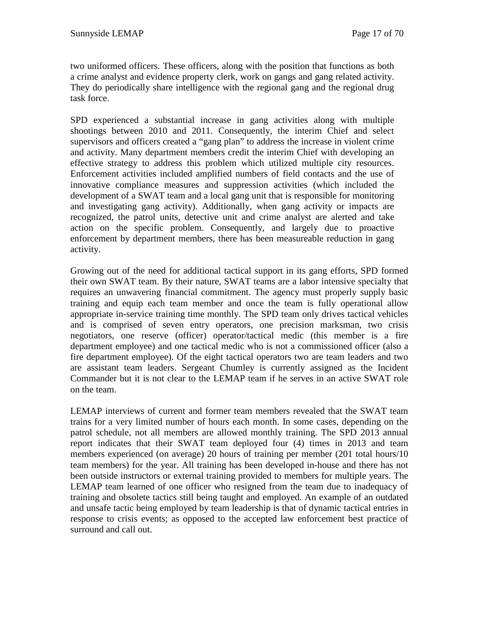two uniformed officers. These officers, along with the position that functions as both a crime analyst and evidence property clerk, work on gangs and gang related activity. They do periodically share intelligence with the regional gang and the regional drug task force.

SPD experienced a substantial increase in gang activities along with multiple shootings between 2010 and 2011. Consequently, the interim Chief and select supervisors and officers created a "gang plan" to address the increase in violent crime and activity. Many department members credit the interim Chief with developing an effective strategy to address this problem which utilized multiple city resources. Enforcement activities included amplified numbers of field contacts and the use of innovative compliance measures and suppression activities (which included the development of a SWAT team and a local gang unit that is responsible for monitoring and investigating gang activity). Additionally, when gang activity or impacts are recognized, the patrol units, detective unit and crime analyst are alerted and take action on the specific problem. Consequently, and largely due to proactive enforcement by department members, there has been measureable reduction in gang activity.

Growing out of the need for additional tactical support in its gang efforts, SPD formed their own SWAT team. By their nature, SWAT teams are a labor intensive specialty that requires an unwavering financial commitment. The agency must properly supply basic training and equip each team member and once the team is fully operational allow appropriate in-service training time monthly. The SPD team only drives tactical vehicles and is comprised of seven entry operators, one precision marksman, two crisis negotiators, one reserve (officer) operator/tactical medic (this member is a fire department employee) and one tactical medic who is not a commissioned officer (also a fire department employee). Of the eight tactical operators two are team leaders and two are assistant team leaders. Sergeant Chumley is currently assigned as the Incident Commander but it is not clear to the LEMAP team if he serves in an active SWAT role on the team.

LEMAP interviews of current and former team members revealed that the SWAT team trains for a very limited number of hours each month. In some cases, depending on the patrol schedule, not all members are allowed monthly training. The SPD 2013 annual report indicates that their SWAT team deployed four (4) times in 2013 and team members experienced (on average) 20 hours of training per member (201 total hours/10 team members) for the year. All training has been developed in-house and there has not been outside instructors or external training provided to members for multiple years. The LEMAP team learned of one officer who resigned from the team due to inadequacy of training and obsolete tactics still being taught and employed. An example of an outdated and unsafe tactic being employed by team leadership is that of dynamic tactical entries in response to crisis events; as opposed to the accepted law enforcement best practice of surround and call out.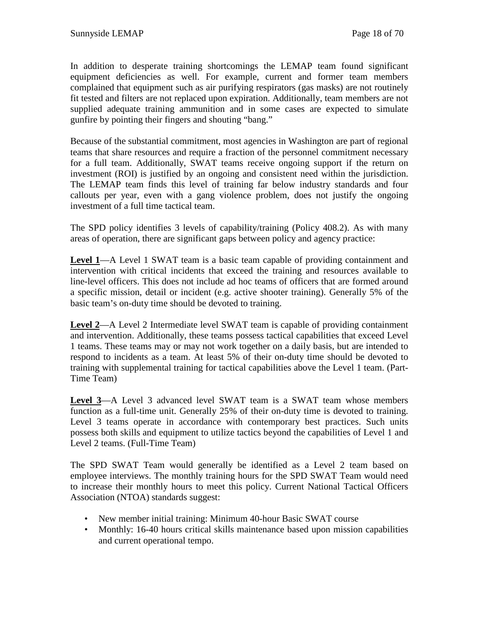In addition to desperate training shortcomings the LEMAP team found significant equipment deficiencies as well. For example, current and former team members complained that equipment such as air purifying respirators (gas masks) are not routinely fit tested and filters are not replaced upon expiration. Additionally, team members are not supplied adequate training ammunition and in some cases are expected to simulate gunfire by pointing their fingers and shouting "bang."

Because of the substantial commitment, most agencies in Washington are part of regional teams that share resources and require a fraction of the personnel commitment necessary for a full team. Additionally, SWAT teams receive ongoing support if the return on investment (ROI) is justified by an ongoing and consistent need within the jurisdiction. The LEMAP team finds this level of training far below industry standards and four callouts per year, even with a gang violence problem, does not justify the ongoing investment of a full time tactical team.

The SPD policy identifies 3 levels of capability/training (Policy 408.2). As with many areas of operation, there are significant gaps between policy and agency practice:

**Level 1**—A Level 1 SWAT team is a basic team capable of providing containment and intervention with critical incidents that exceed the training and resources available to line-level officers. This does not include ad hoc teams of officers that are formed around a specific mission, detail or incident (e.g. active shooter training). Generally 5% of the basic team's on-duty time should be devoted to training.

**Level 2**—A Level 2 Intermediate level SWAT team is capable of providing containment and intervention. Additionally, these teams possess tactical capabilities that exceed Level 1 teams. These teams may or may not work together on a daily basis, but are intended to respond to incidents as a team. At least 5% of their on-duty time should be devoted to training with supplemental training for tactical capabilities above the Level 1 team. (Part-Time Team)

**Level 3**—A Level 3 advanced level SWAT team is a SWAT team whose members function as a full-time unit. Generally 25% of their on-duty time is devoted to training. Level 3 teams operate in accordance with contemporary best practices. Such units possess both skills and equipment to utilize tactics beyond the capabilities of Level 1 and Level 2 teams. (Full-Time Team)

The SPD SWAT Team would generally be identified as a Level 2 team based on employee interviews. The monthly training hours for the SPD SWAT Team would need to increase their monthly hours to meet this policy. Current National Tactical Officers Association (NTOA) standards suggest:

- New member initial training: Minimum 40-hour Basic SWAT course
- Monthly: 16-40 hours critical skills maintenance based upon mission capabilities and current operational tempo.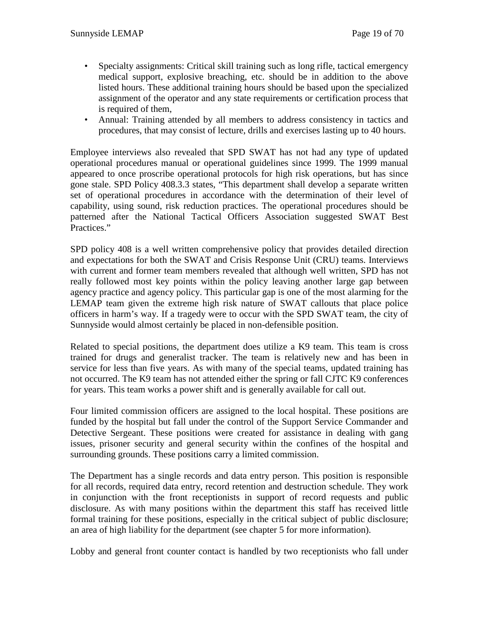- Specialty assignments: Critical skill training such as long rifle, tactical emergency medical support, explosive breaching, etc. should be in addition to the above listed hours. These additional training hours should be based upon the specialized assignment of the operator and any state requirements or certification process that is required of them,
- Annual: Training attended by all members to address consistency in tactics and procedures, that may consist of lecture, drills and exercises lasting up to 40 hours.

Employee interviews also revealed that SPD SWAT has not had any type of updated operational procedures manual or operational guidelines since 1999. The 1999 manual appeared to once proscribe operational protocols for high risk operations, but has since gone stale. SPD Policy 408.3.3 states, "This department shall develop a separate written set of operational procedures in accordance with the determination of their level of capability, using sound, risk reduction practices. The operational procedures should be patterned after the National Tactical Officers Association suggested SWAT Best Practices."

SPD policy 408 is a well written comprehensive policy that provides detailed direction and expectations for both the SWAT and Crisis Response Unit (CRU) teams. Interviews with current and former team members revealed that although well written, SPD has not really followed most key points within the policy leaving another large gap between agency practice and agency policy. This particular gap is one of the most alarming for the LEMAP team given the extreme high risk nature of SWAT callouts that place police officers in harm's way. If a tragedy were to occur with the SPD SWAT team, the city of Sunnyside would almost certainly be placed in non-defensible position.

Related to special positions, the department does utilize a K9 team. This team is cross trained for drugs and generalist tracker. The team is relatively new and has been in service for less than five years. As with many of the special teams, updated training has not occurred. The K9 team has not attended either the spring or fall CJTC K9 conferences for years. This team works a power shift and is generally available for call out.

Four limited commission officers are assigned to the local hospital. These positions are funded by the hospital but fall under the control of the Support Service Commander and Detective Sergeant. These positions were created for assistance in dealing with gang issues, prisoner security and general security within the confines of the hospital and surrounding grounds. These positions carry a limited commission.

The Department has a single records and data entry person. This position is responsible for all records, required data entry, record retention and destruction schedule. They work in conjunction with the front receptionists in support of record requests and public disclosure. As with many positions within the department this staff has received little formal training for these positions, especially in the critical subject of public disclosure; an area of high liability for the department (see chapter 5 for more information).

Lobby and general front counter contact is handled by two receptionists who fall under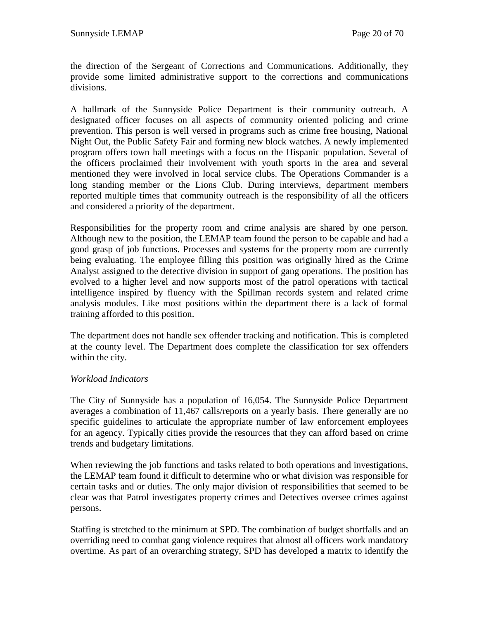the direction of the Sergeant of Corrections and Communications. Additionally, they provide some limited administrative support to the corrections and communications divisions.

A hallmark of the Sunnyside Police Department is their community outreach. A designated officer focuses on all aspects of community oriented policing and crime prevention. This person is well versed in programs such as crime free housing, National Night Out, the Public Safety Fair and forming new block watches. A newly implemented program offers town hall meetings with a focus on the Hispanic population. Several of the officers proclaimed their involvement with youth sports in the area and several mentioned they were involved in local service clubs. The Operations Commander is a long standing member or the Lions Club. During interviews, department members reported multiple times that community outreach is the responsibility of all the officers and considered a priority of the department.

Responsibilities for the property room and crime analysis are shared by one person. Although new to the position, the LEMAP team found the person to be capable and had a good grasp of job functions. Processes and systems for the property room are currently being evaluating. The employee filling this position was originally hired as the Crime Analyst assigned to the detective division in support of gang operations. The position has evolved to a higher level and now supports most of the patrol operations with tactical intelligence inspired by fluency with the Spillman records system and related crime analysis modules. Like most positions within the department there is a lack of formal training afforded to this position.

The department does not handle sex offender tracking and notification. This is completed at the county level. The Department does complete the classification for sex offenders within the city.

## *Workload Indicators*

The City of Sunnyside has a population of 16,054. The Sunnyside Police Department averages a combination of 11,467 calls/reports on a yearly basis. There generally are no specific guidelines to articulate the appropriate number of law enforcement employees for an agency. Typically cities provide the resources that they can afford based on crime trends and budgetary limitations.

When reviewing the job functions and tasks related to both operations and investigations, the LEMAP team found it difficult to determine who or what division was responsible for certain tasks and or duties. The only major division of responsibilities that seemed to be clear was that Patrol investigates property crimes and Detectives oversee crimes against persons.

Staffing is stretched to the minimum at SPD. The combination of budget shortfalls and an overriding need to combat gang violence requires that almost all officers work mandatory overtime. As part of an overarching strategy, SPD has developed a matrix to identify the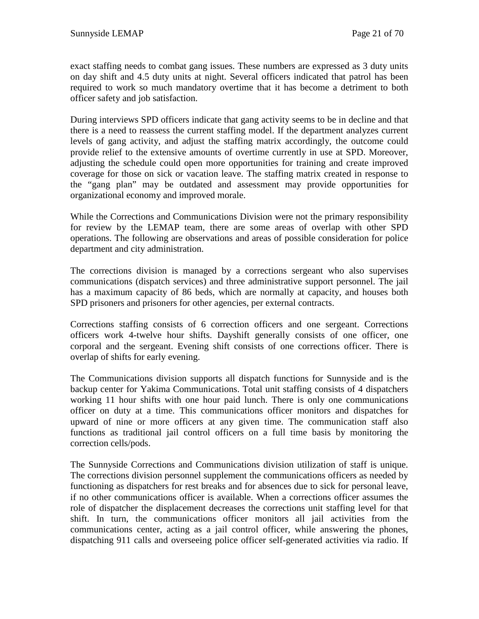exact staffing needs to combat gang issues. These numbers are expressed as 3 duty units on day shift and 4.5 duty units at night. Several officers indicated that patrol has been required to work so much mandatory overtime that it has become a detriment to both officer safety and job satisfaction.

During interviews SPD officers indicate that gang activity seems to be in decline and that there is a need to reassess the current staffing model. If the department analyzes current levels of gang activity, and adjust the staffing matrix accordingly, the outcome could provide relief to the extensive amounts of overtime currently in use at SPD. Moreover, adjusting the schedule could open more opportunities for training and create improved coverage for those on sick or vacation leave. The staffing matrix created in response to the "gang plan" may be outdated and assessment may provide opportunities for organizational economy and improved morale.

While the Corrections and Communications Division were not the primary responsibility for review by the LEMAP team, there are some areas of overlap with other SPD operations. The following are observations and areas of possible consideration for police department and city administration.

The corrections division is managed by a corrections sergeant who also supervises communications (dispatch services) and three administrative support personnel. The jail has a maximum capacity of 86 beds, which are normally at capacity, and houses both SPD prisoners and prisoners for other agencies, per external contracts.

Corrections staffing consists of 6 correction officers and one sergeant. Corrections officers work 4-twelve hour shifts. Dayshift generally consists of one officer, one corporal and the sergeant. Evening shift consists of one corrections officer. There is overlap of shifts for early evening.

The Communications division supports all dispatch functions for Sunnyside and is the backup center for Yakima Communications. Total unit staffing consists of 4 dispatchers working 11 hour shifts with one hour paid lunch. There is only one communications officer on duty at a time. This communications officer monitors and dispatches for upward of nine or more officers at any given time. The communication staff also functions as traditional jail control officers on a full time basis by monitoring the correction cells/pods.

The Sunnyside Corrections and Communications division utilization of staff is unique. The corrections division personnel supplement the communications officers as needed by functioning as dispatchers for rest breaks and for absences due to sick for personal leave, if no other communications officer is available. When a corrections officer assumes the role of dispatcher the displacement decreases the corrections unit staffing level for that shift. In turn, the communications officer monitors all jail activities from the communications center, acting as a jail control officer, while answering the phones, dispatching 911 calls and overseeing police officer self-generated activities via radio. If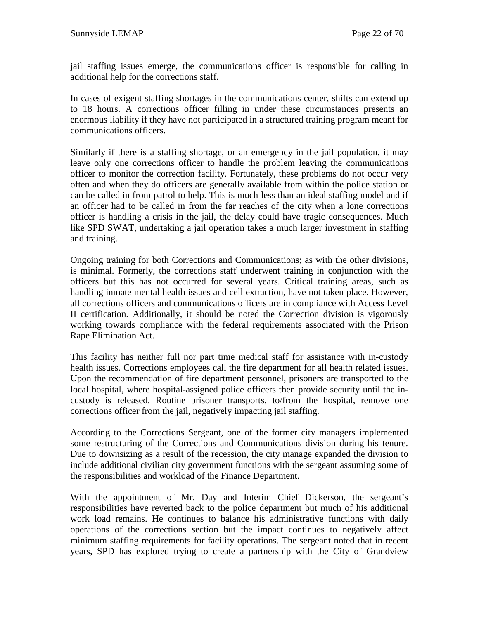jail staffing issues emerge, the communications officer is responsible for calling in additional help for the corrections staff.

In cases of exigent staffing shortages in the communications center, shifts can extend up to 18 hours. A corrections officer filling in under these circumstances presents an enormous liability if they have not participated in a structured training program meant for communications officers.

Similarly if there is a staffing shortage, or an emergency in the jail population, it may leave only one corrections officer to handle the problem leaving the communications officer to monitor the correction facility. Fortunately, these problems do not occur very often and when they do officers are generally available from within the police station or can be called in from patrol to help. This is much less than an ideal staffing model and if an officer had to be called in from the far reaches of the city when a lone corrections officer is handling a crisis in the jail, the delay could have tragic consequences. Much like SPD SWAT, undertaking a jail operation takes a much larger investment in staffing and training.

Ongoing training for both Corrections and Communications; as with the other divisions, is minimal. Formerly, the corrections staff underwent training in conjunction with the officers but this has not occurred for several years. Critical training areas, such as handling inmate mental health issues and cell extraction, have not taken place. However, all corrections officers and communications officers are in compliance with Access Level II certification. Additionally, it should be noted the Correction division is vigorously working towards compliance with the federal requirements associated with the Prison Rape Elimination Act.

This facility has neither full nor part time medical staff for assistance with in-custody health issues. Corrections employees call the fire department for all health related issues. Upon the recommendation of fire department personnel, prisoners are transported to the local hospital, where hospital-assigned police officers then provide security until the incustody is released. Routine prisoner transports, to/from the hospital, remove one corrections officer from the jail, negatively impacting jail staffing.

According to the Corrections Sergeant, one of the former city managers implemented some restructuring of the Corrections and Communications division during his tenure. Due to downsizing as a result of the recession, the city manage expanded the division to include additional civilian city government functions with the sergeant assuming some of the responsibilities and workload of the Finance Department.

With the appointment of Mr. Day and Interim Chief Dickerson, the sergeant's responsibilities have reverted back to the police department but much of his additional work load remains. He continues to balance his administrative functions with daily operations of the corrections section but the impact continues to negatively affect minimum staffing requirements for facility operations. The sergeant noted that in recent years, SPD has explored trying to create a partnership with the City of Grandview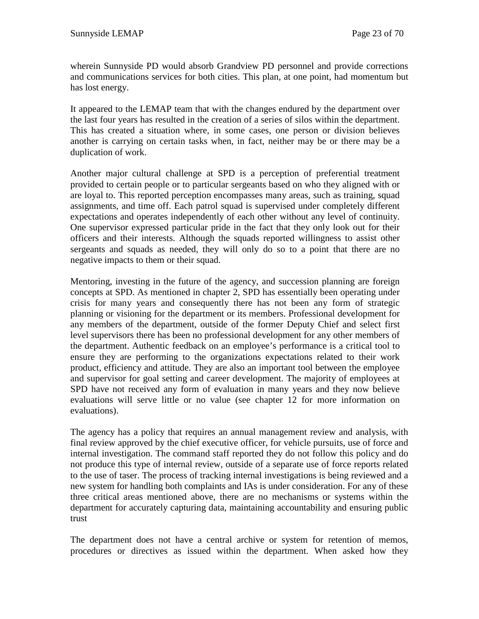wherein Sunnyside PD would absorb Grandview PD personnel and provide corrections and communications services for both cities. This plan, at one point, had momentum but has lost energy.

It appeared to the LEMAP team that with the changes endured by the department over the last four years has resulted in the creation of a series of silos within the department. This has created a situation where, in some cases, one person or division believes another is carrying on certain tasks when, in fact, neither may be or there may be a duplication of work.

Another major cultural challenge at SPD is a perception of preferential treatment provided to certain people or to particular sergeants based on who they aligned with or are loyal to. This reported perception encompasses many areas, such as training, squad assignments, and time off. Each patrol squad is supervised under completely different expectations and operates independently of each other without any level of continuity. One supervisor expressed particular pride in the fact that they only look out for their officers and their interests. Although the squads reported willingness to assist other sergeants and squads as needed, they will only do so to a point that there are no negative impacts to them or their squad.

Mentoring, investing in the future of the agency, and succession planning are foreign concepts at SPD. As mentioned in chapter 2, SPD has essentially been operating under crisis for many years and consequently there has not been any form of strategic planning or visioning for the department or its members. Professional development for any members of the department, outside of the former Deputy Chief and select first level supervisors there has been no professional development for any other members of the department. Authentic feedback on an employee's performance is a critical tool to ensure they are performing to the organizations expectations related to their work product, efficiency and attitude. They are also an important tool between the employee and supervisor for goal setting and career development. The majority of employees at SPD have not received any form of evaluation in many years and they now believe evaluations will serve little or no value (see chapter 12 for more information on evaluations).

The agency has a policy that requires an annual management review and analysis, with final review approved by the chief executive officer, for vehicle pursuits, use of force and internal investigation. The command staff reported they do not follow this policy and do not produce this type of internal review, outside of a separate use of force reports related to the use of taser. The process of tracking internal investigations is being reviewed and a new system for handling both complaints and IAs is under consideration. For any of these three critical areas mentioned above, there are no mechanisms or systems within the department for accurately capturing data, maintaining accountability and ensuring public trust

The department does not have a central archive or system for retention of memos, procedures or directives as issued within the department. When asked how they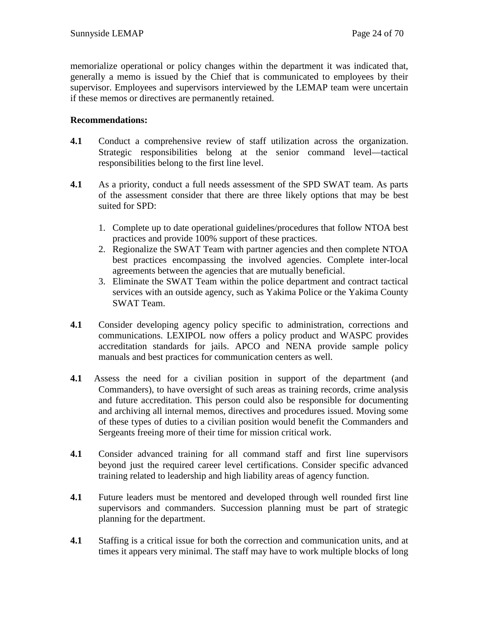memorialize operational or policy changes within the department it was indicated that, generally a memo is issued by the Chief that is communicated to employees by their supervisor. Employees and supervisors interviewed by the LEMAP team were uncertain if these memos or directives are permanently retained.

## **Recommendations:**

- **4.1** Conduct a comprehensive review of staff utilization across the organization. Strategic responsibilities belong at the senior command level—tactical responsibilities belong to the first line level.
- **4.1** As a priority, conduct a full needs assessment of the SPD SWAT team. As parts of the assessment consider that there are three likely options that may be best suited for SPD:
	- 1. Complete up to date operational guidelines/procedures that follow NTOA best practices and provide 100% support of these practices.
	- 2. Regionalize the SWAT Team with partner agencies and then complete NTOA best practices encompassing the involved agencies. Complete inter-local agreements between the agencies that are mutually beneficial.
	- 3. Eliminate the SWAT Team within the police department and contract tactical services with an outside agency, such as Yakima Police or the Yakima County SWAT Team.
- **4.1** Consider developing agency policy specific to administration, corrections and communications. LEXIPOL now offers a policy product and WASPC provides accreditation standards for jails. APCO and NENA provide sample policy manuals and best practices for communication centers as well.
- **4.1** Assess the need for a civilian position in support of the department (and Commanders), to have oversight of such areas as training records, crime analysis and future accreditation. This person could also be responsible for documenting and archiving all internal memos, directives and procedures issued. Moving some of these types of duties to a civilian position would benefit the Commanders and Sergeants freeing more of their time for mission critical work.
- **4.1** Consider advanced training for all command staff and first line supervisors beyond just the required career level certifications. Consider specific advanced training related to leadership and high liability areas of agency function.
- **4.1** Future leaders must be mentored and developed through well rounded first line supervisors and commanders. Succession planning must be part of strategic planning for the department.
- **4.1** Staffing is a critical issue for both the correction and communication units, and at times it appears very minimal. The staff may have to work multiple blocks of long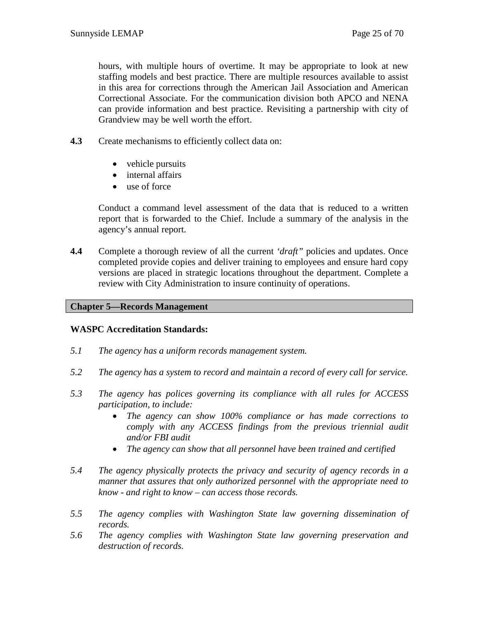hours, with multiple hours of overtime. It may be appropriate to look at new staffing models and best practice. There are multiple resources available to assist in this area for corrections through the American Jail Association and American Correctional Associate. For the communication division both APCO and NENA can provide information and best practice. Revisiting a partnership with city of Grandview may be well worth the effort.

- **4.3** Create mechanisms to efficiently collect data on:
	- vehicle pursuits
	- internal affairs
	- use of force

Conduct a command level assessment of the data that is reduced to a written report that is forwarded to the Chief. Include a summary of the analysis in the agency's annual report.

**4.4** Complete a thorough review of all the current *'draft"* policies and updates. Once completed provide copies and deliver training to employees and ensure hard copy versions are placed in strategic locations throughout the department. Complete a review with City Administration to insure continuity of operations.

## **Chapter 5—Records Management**

## **WASPC Accreditation Standards:**

- *5.1 The agency has a uniform records management system.*
- *5.2 The agency has a system to record and maintain a record of every call for service.*
- *5.3 The agency has polices governing its compliance with all rules for ACCESS participation, to include:*
	- *The agency can show 100% compliance or has made corrections to comply with any ACCESS findings from the previous triennial audit and/or FBI audit*
	- *The agency can show that all personnel have been trained and certified*
- *5.4 The agency physically protects the privacy and security of agency records in a manner that assures that only authorized personnel with the appropriate need to know - and right to know – can access those records.*
- *5.5 The agency complies with Washington State law governing dissemination of records.*
- *5.6 The agency complies with Washington State law governing preservation and destruction of records.*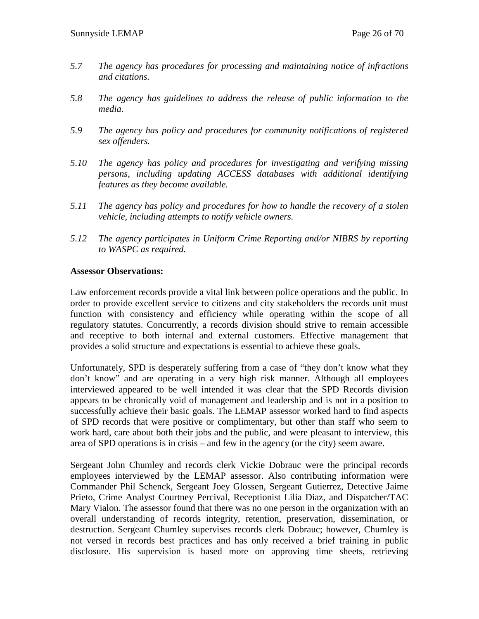- *5.7 The agency has procedures for processing and maintaining notice of infractions and citations.*
- *5.8 The agency has guidelines to address the release of public information to the media.*
- *5.9 The agency has policy and procedures for community notifications of registered sex offenders.*
- *5.10 The agency has policy and procedures for investigating and verifying missing persons, including updating ACCESS databases with additional identifying features as they become available.*
- *5.11 The agency has policy and procedures for how to handle the recovery of a stolen vehicle, including attempts to notify vehicle owners.*
- *5.12 The agency participates in Uniform Crime Reporting and/or NIBRS by reporting to WASPC as required.*

#### **Assessor Observations:**

Law enforcement records provide a vital link between police operations and the public. In order to provide excellent service to citizens and city stakeholders the records unit must function with consistency and efficiency while operating within the scope of all regulatory statutes. Concurrently, a records division should strive to remain accessible and receptive to both internal and external customers. Effective management that provides a solid structure and expectations is essential to achieve these goals.

Unfortunately, SPD is desperately suffering from a case of "they don't know what they don't know" and are operating in a very high risk manner. Although all employees interviewed appeared to be well intended it was clear that the SPD Records division appears to be chronically void of management and leadership and is not in a position to successfully achieve their basic goals. The LEMAP assessor worked hard to find aspects of SPD records that were positive or complimentary, but other than staff who seem to work hard, care about both their jobs and the public, and were pleasant to interview, this area of SPD operations is in crisis – and few in the agency (or the city) seem aware.

Sergeant John Chumley and records clerk Vickie Dobrauc were the principal records employees interviewed by the LEMAP assessor. Also contributing information were Commander Phil Schenck, Sergeant Joey Glossen, Sergeant Gutierrez, Detective Jaime Prieto, Crime Analyst Courtney Percival, Receptionist Lilia Diaz, and Dispatcher/TAC Mary Vialon. The assessor found that there was no one person in the organization with an overall understanding of records integrity, retention, preservation, dissemination, or destruction. Sergeant Chumley supervises records clerk Dobrauc; however, Chumley is not versed in records best practices and has only received a brief training in public disclosure. His supervision is based more on approving time sheets, retrieving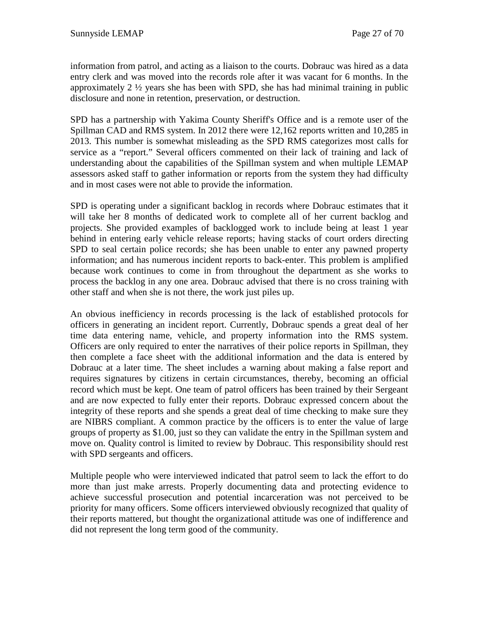information from patrol, and acting as a liaison to the courts. Dobrauc was hired as a data entry clerk and was moved into the records role after it was vacant for 6 months. In the approximately 2 ½ years she has been with SPD, she has had minimal training in public disclosure and none in retention, preservation, or destruction.

SPD has a partnership with Yakima County Sheriff's Office and is a remote user of the Spillman CAD and RMS system. In 2012 there were 12,162 reports written and 10,285 in 2013. This number is somewhat misleading as the SPD RMS categorizes most calls for service as a "report." Several officers commented on their lack of training and lack of understanding about the capabilities of the Spillman system and when multiple LEMAP assessors asked staff to gather information or reports from the system they had difficulty and in most cases were not able to provide the information.

SPD is operating under a significant backlog in records where Dobrauc estimates that it will take her 8 months of dedicated work to complete all of her current backlog and projects. She provided examples of backlogged work to include being at least 1 year behind in entering early vehicle release reports; having stacks of court orders directing SPD to seal certain police records; she has been unable to enter any pawned property information; and has numerous incident reports to back-enter. This problem is amplified because work continues to come in from throughout the department as she works to process the backlog in any one area. Dobrauc advised that there is no cross training with other staff and when she is not there, the work just piles up.

An obvious inefficiency in records processing is the lack of established protocols for officers in generating an incident report. Currently, Dobrauc spends a great deal of her time data entering name, vehicle, and property information into the RMS system. Officers are only required to enter the narratives of their police reports in Spillman, they then complete a face sheet with the additional information and the data is entered by Dobrauc at a later time. The sheet includes a warning about making a false report and requires signatures by citizens in certain circumstances, thereby, becoming an official record which must be kept. One team of patrol officers has been trained by their Sergeant and are now expected to fully enter their reports. Dobrauc expressed concern about the integrity of these reports and she spends a great deal of time checking to make sure they are NIBRS compliant. A common practice by the officers is to enter the value of large groups of property as \$1.00, just so they can validate the entry in the Spillman system and move on. Quality control is limited to review by Dobrauc. This responsibility should rest with SPD sergeants and officers.

Multiple people who were interviewed indicated that patrol seem to lack the effort to do more than just make arrests. Properly documenting data and protecting evidence to achieve successful prosecution and potential incarceration was not perceived to be priority for many officers. Some officers interviewed obviously recognized that quality of their reports mattered, but thought the organizational attitude was one of indifference and did not represent the long term good of the community.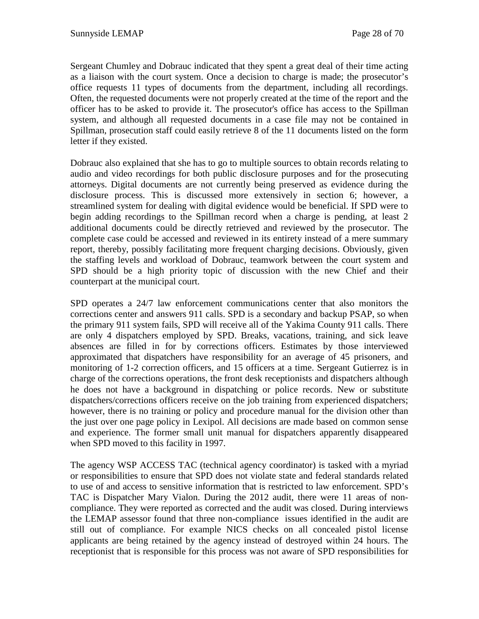Sergeant Chumley and Dobrauc indicated that they spent a great deal of their time acting as a liaison with the court system. Once a decision to charge is made; the prosecutor's office requests 11 types of documents from the department, including all recordings. Often, the requested documents were not properly created at the time of the report and the officer has to be asked to provide it. The prosecutor's office has access to the Spillman system, and although all requested documents in a case file may not be contained in Spillman, prosecution staff could easily retrieve 8 of the 11 documents listed on the form letter if they existed.

Dobrauc also explained that she has to go to multiple sources to obtain records relating to audio and video recordings for both public disclosure purposes and for the prosecuting attorneys. Digital documents are not currently being preserved as evidence during the disclosure process. This is discussed more extensively in section 6; however, a streamlined system for dealing with digital evidence would be beneficial. If SPD were to begin adding recordings to the Spillman record when a charge is pending, at least 2 additional documents could be directly retrieved and reviewed by the prosecutor. The complete case could be accessed and reviewed in its entirety instead of a mere summary report, thereby, possibly facilitating more frequent charging decisions. Obviously, given the staffing levels and workload of Dobrauc, teamwork between the court system and SPD should be a high priority topic of discussion with the new Chief and their counterpart at the municipal court.

SPD operates a 24/7 law enforcement communications center that also monitors the corrections center and answers 911 calls. SPD is a secondary and backup PSAP, so when the primary 911 system fails, SPD will receive all of the Yakima County 911 calls. There are only 4 dispatchers employed by SPD. Breaks, vacations, training, and sick leave absences are filled in for by corrections officers. Estimates by those interviewed approximated that dispatchers have responsibility for an average of 45 prisoners, and monitoring of 1-2 correction officers, and 15 officers at a time. Sergeant Gutierrez is in charge of the corrections operations, the front desk receptionists and dispatchers although he does not have a background in dispatching or police records. New or substitute dispatchers/corrections officers receive on the job training from experienced dispatchers; however, there is no training or policy and procedure manual for the division other than the just over one page policy in Lexipol. All decisions are made based on common sense and experience. The former small unit manual for dispatchers apparently disappeared when SPD moved to this facility in 1997.

The agency WSP ACCESS TAC (technical agency coordinator) is tasked with a myriad or responsibilities to ensure that SPD does not violate state and federal standards related to use of and access to sensitive information that is restricted to law enforcement. SPD's TAC is Dispatcher Mary Vialon. During the 2012 audit, there were 11 areas of noncompliance. They were reported as corrected and the audit was closed. During interviews the LEMAP assessor found that three non-compliance issues identified in the audit are still out of compliance. For example NICS checks on all concealed pistol license applicants are being retained by the agency instead of destroyed within 24 hours. The receptionist that is responsible for this process was not aware of SPD responsibilities for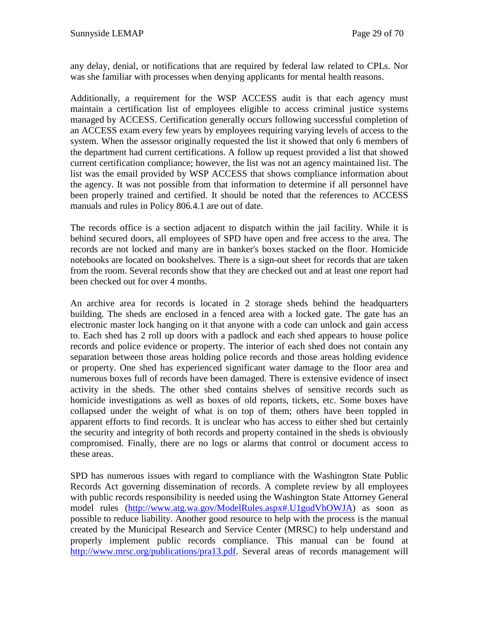any delay, denial, or notifications that are required by federal law related to CPLs. Nor was she familiar with processes when denying applicants for mental health reasons.

Additionally, a requirement for the WSP ACCESS audit is that each agency must maintain a certification list of employees eligible to access criminal justice systems managed by ACCESS. Certification generally occurs following successful completion of an ACCESS exam every few years by employees requiring varying levels of access to the system. When the assessor originally requested the list it showed that only 6 members of the department had current certifications. A follow up request provided a list that showed current certification compliance; however, the list was not an agency maintained list. The list was the email provided by WSP ACCESS that shows compliance information about the agency. It was not possible from that information to determine if all personnel have been properly trained and certified. It should be noted that the references to ACCESS manuals and rules in Policy 806.4.1 are out of date.

The records office is a section adjacent to dispatch within the jail facility. While it is behind secured doors, all employees of SPD have open and free access to the area. The records are not locked and many are in banker's boxes stacked on the floor. Homicide notebooks are located on bookshelves. There is a sign-out sheet for records that are taken from the room. Several records show that they are checked out and at least one report had been checked out for over 4 months.

An archive area for records is located in 2 storage sheds behind the headquarters building. The sheds are enclosed in a fenced area with a locked gate. The gate has an electronic master lock hanging on it that anyone with a code can unlock and gain access to. Each shed has 2 roll up doors with a padlock and each shed appears to house police records and police evidence or property. The interior of each shed does not contain any separation between those areas holding police records and those areas holding evidence or property. One shed has experienced significant water damage to the floor area and numerous boxes full of records have been damaged. There is extensive evidence of insect activity in the sheds. The other shed contains shelves of sensitive records such as homicide investigations as well as boxes of old reports, tickets, etc. Some boxes have collapsed under the weight of what is on top of them; others have been toppled in apparent efforts to find records. It is unclear who has access to either shed but certainly the security and integrity of both records and property contained in the sheds is obviously compromised. Finally, there are no logs or alarms that control or document access to these areas.

SPD has numerous issues with regard to compliance with the Washington State Public Records Act governing dissemination of records. A complete review by all employees with public records responsibility is needed using the Washington State Attorney General model rules [\(http://www.atg.wa.gov/ModelRules.aspx#.U1gudVhOWJA\)](http://www.atg.wa.gov/ModelRules.aspx#.U1gudVhOWJA) as soon as possible to reduce liability. Another good resource to help with the process is the manual created by the Municipal Research and Service Center (MRSC) to help understand and properly implement public records compliance. This manual can be found at [http://www.mrsc.org/publications/pra13.pdf.](http://www.mrsc.org/publications/pra13.pdf) Several areas of records management will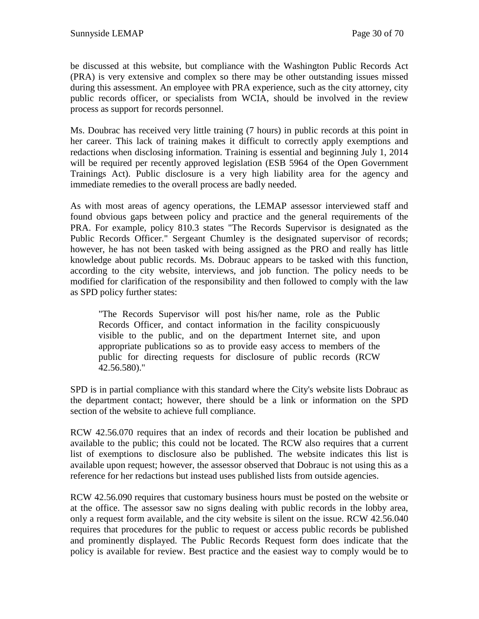be discussed at this website, but compliance with the Washington Public Records Act (PRA) is very extensive and complex so there may be other outstanding issues missed during this assessment. An employee with PRA experience, such as the city attorney, city public records officer, or specialists from WCIA, should be involved in the review process as support for records personnel.

Ms. Doubrac has received very little training (7 hours) in public records at this point in her career. This lack of training makes it difficult to correctly apply exemptions and redactions when disclosing information. Training is essential and beginning July 1, 2014 will be required per recently approved legislation (ESB 5964 of the Open Government Trainings Act). Public disclosure is a very high liability area for the agency and immediate remedies to the overall process are badly needed.

As with most areas of agency operations, the LEMAP assessor interviewed staff and found obvious gaps between policy and practice and the general requirements of the PRA. For example, policy 810.3 states "The Records Supervisor is designated as the Public Records Officer." Sergeant Chumley is the designated supervisor of records; however, he has not been tasked with being assigned as the PRO and really has little knowledge about public records. Ms. Dobrauc appears to be tasked with this function, according to the city website, interviews, and job function. The policy needs to be modified for clarification of the responsibility and then followed to comply with the law as SPD policy further states:

"The Records Supervisor will post his/her name, role as the Public Records Officer, and contact information in the facility conspicuously visible to the public, and on the department Internet site, and upon appropriate publications so as to provide easy access to members of the public for directing requests for disclosure of public records (RCW 42.56.580)."

SPD is in partial compliance with this standard where the City's website lists Dobrauc as the department contact; however, there should be a link or information on the SPD section of the website to achieve full compliance.

RCW 42.56.070 requires that an index of records and their location be published and available to the public; this could not be located. The RCW also requires that a current list of exemptions to disclosure also be published. The website indicates this list is available upon request; however, the assessor observed that Dobrauc is not using this as a reference for her redactions but instead uses published lists from outside agencies.

RCW 42.56.090 requires that customary business hours must be posted on the website or at the office. The assessor saw no signs dealing with public records in the lobby area, only a request form available, and the city website is silent on the issue. RCW 42.56.040 requires that procedures for the public to request or access public records be published and prominently displayed. The Public Records Request form does indicate that the policy is available for review. Best practice and the easiest way to comply would be to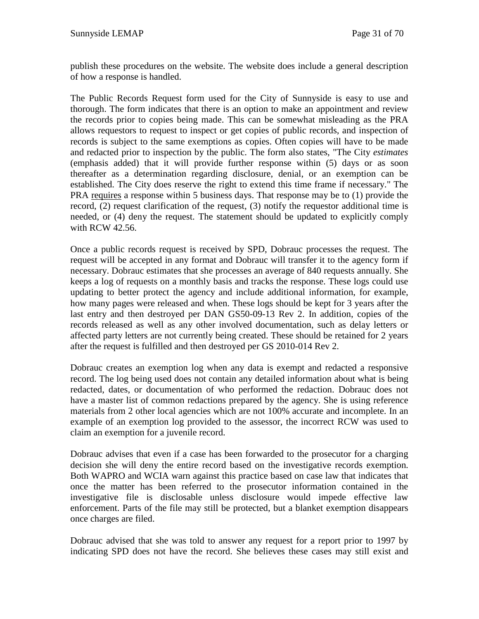publish these procedures on the website. The website does include a general description of how a response is handled.

The Public Records Request form used for the City of Sunnyside is easy to use and thorough. The form indicates that there is an option to make an appointment and review the records prior to copies being made. This can be somewhat misleading as the PRA allows requestors to request to inspect or get copies of public records, and inspection of records is subject to the same exemptions as copies. Often copies will have to be made and redacted prior to inspection by the public. The form also states, "The City *estimates* (emphasis added) that it will provide further response within (5) days or as soon thereafter as a determination regarding disclosure, denial, or an exemption can be established. The City does reserve the right to extend this time frame if necessary." The PRA requires a response within 5 business days. That response may be to (1) provide the record, (2) request clarification of the request, (3) notify the requestor additional time is needed, or (4) deny the request. The statement should be updated to explicitly comply with RCW 42.56.

Once a public records request is received by SPD, Dobrauc processes the request. The request will be accepted in any format and Dobrauc will transfer it to the agency form if necessary. Dobrauc estimates that she processes an average of 840 requests annually. She keeps a log of requests on a monthly basis and tracks the response. These logs could use updating to better protect the agency and include additional information, for example, how many pages were released and when. These logs should be kept for 3 years after the last entry and then destroyed per DAN GS50-09-13 Rev 2. In addition, copies of the records released as well as any other involved documentation, such as delay letters or affected party letters are not currently being created. These should be retained for 2 years after the request is fulfilled and then destroyed per GS 2010-014 Rev 2.

Dobrauc creates an exemption log when any data is exempt and redacted a responsive record. The log being used does not contain any detailed information about what is being redacted, dates, or documentation of who performed the redaction. Dobrauc does not have a master list of common redactions prepared by the agency. She is using reference materials from 2 other local agencies which are not 100% accurate and incomplete. In an example of an exemption log provided to the assessor, the incorrect RCW was used to claim an exemption for a juvenile record.

Dobrauc advises that even if a case has been forwarded to the prosecutor for a charging decision she will deny the entire record based on the investigative records exemption. Both WAPRO and WCIA warn against this practice based on case law that indicates that once the matter has been referred to the prosecutor information contained in the investigative file is disclosable unless disclosure would impede effective law enforcement. Parts of the file may still be protected, but a blanket exemption disappears once charges are filed.

Dobrauc advised that she was told to answer any request for a report prior to 1997 by indicating SPD does not have the record. She believes these cases may still exist and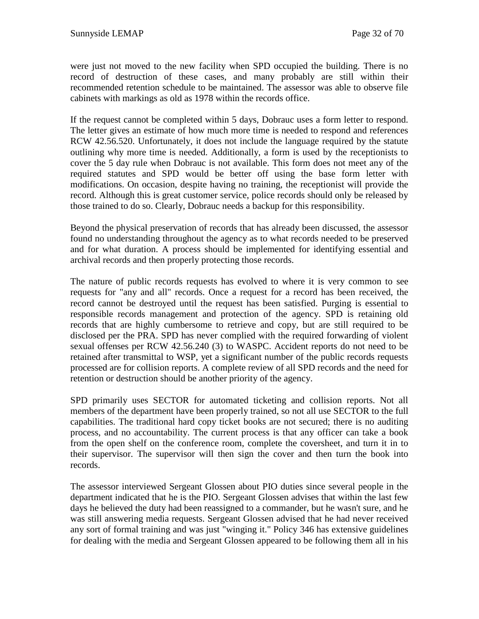were just not moved to the new facility when SPD occupied the building. There is no record of destruction of these cases, and many probably are still within their recommended retention schedule to be maintained. The assessor was able to observe file cabinets with markings as old as 1978 within the records office.

If the request cannot be completed within 5 days, Dobrauc uses a form letter to respond. The letter gives an estimate of how much more time is needed to respond and references RCW 42.56.520. Unfortunately, it does not include the language required by the statute outlining why more time is needed. Additionally, a form is used by the receptionists to cover the 5 day rule when Dobrauc is not available. This form does not meet any of the required statutes and SPD would be better off using the base form letter with modifications. On occasion, despite having no training, the receptionist will provide the record. Although this is great customer service, police records should only be released by those trained to do so. Clearly, Dobrauc needs a backup for this responsibility.

Beyond the physical preservation of records that has already been discussed, the assessor found no understanding throughout the agency as to what records needed to be preserved and for what duration. A process should be implemented for identifying essential and archival records and then properly protecting those records.

The nature of public records requests has evolved to where it is very common to see requests for "any and all" records. Once a request for a record has been received, the record cannot be destroyed until the request has been satisfied. Purging is essential to responsible records management and protection of the agency. SPD is retaining old records that are highly cumbersome to retrieve and copy, but are still required to be disclosed per the PRA. SPD has never complied with the required forwarding of violent sexual offenses per RCW 42.56.240 (3) to WASPC. Accident reports do not need to be retained after transmittal to WSP, yet a significant number of the public records requests processed are for collision reports. A complete review of all SPD records and the need for retention or destruction should be another priority of the agency.

SPD primarily uses SECTOR for automated ticketing and collision reports. Not all members of the department have been properly trained, so not all use SECTOR to the full capabilities. The traditional hard copy ticket books are not secured; there is no auditing process, and no accountability. The current process is that any officer can take a book from the open shelf on the conference room, complete the coversheet, and turn it in to their supervisor. The supervisor will then sign the cover and then turn the book into records.

The assessor interviewed Sergeant Glossen about PIO duties since several people in the department indicated that he is the PIO. Sergeant Glossen advises that within the last few days he believed the duty had been reassigned to a commander, but he wasn't sure, and he was still answering media requests. Sergeant Glossen advised that he had never received any sort of formal training and was just "winging it." Policy 346 has extensive guidelines for dealing with the media and Sergeant Glossen appeared to be following them all in his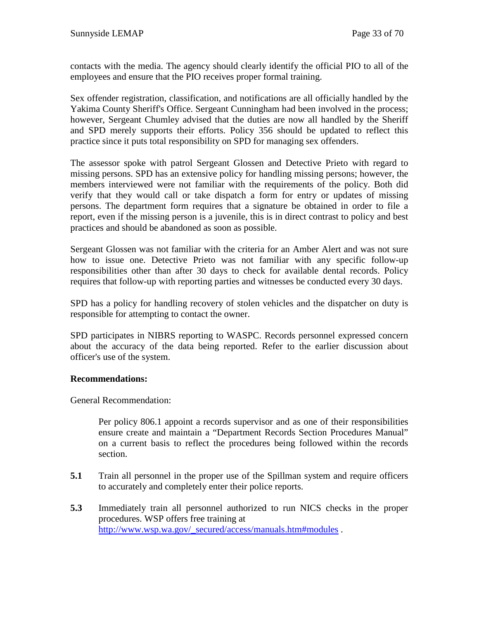contacts with the media. The agency should clearly identify the official PIO to all of the employees and ensure that the PIO receives proper formal training.

Sex offender registration, classification, and notifications are all officially handled by the Yakima County Sheriff's Office. Sergeant Cunningham had been involved in the process; however, Sergeant Chumley advised that the duties are now all handled by the Sheriff and SPD merely supports their efforts. Policy 356 should be updated to reflect this practice since it puts total responsibility on SPD for managing sex offenders.

The assessor spoke with patrol Sergeant Glossen and Detective Prieto with regard to missing persons. SPD has an extensive policy for handling missing persons; however, the members interviewed were not familiar with the requirements of the policy. Both did verify that they would call or take dispatch a form for entry or updates of missing persons. The department form requires that a signature be obtained in order to file a report, even if the missing person is a juvenile, this is in direct contrast to policy and best practices and should be abandoned as soon as possible.

Sergeant Glossen was not familiar with the criteria for an Amber Alert and was not sure how to issue one. Detective Prieto was not familiar with any specific follow-up responsibilities other than after 30 days to check for available dental records. Policy requires that follow-up with reporting parties and witnesses be conducted every 30 days.

SPD has a policy for handling recovery of stolen vehicles and the dispatcher on duty is responsible for attempting to contact the owner.

SPD participates in NIBRS reporting to WASPC. Records personnel expressed concern about the accuracy of the data being reported. Refer to the earlier discussion about officer's use of the system.

## **Recommendations:**

General Recommendation:

Per policy 806.1 appoint a records supervisor and as one of their responsibilities ensure create and maintain a "Department Records Section Procedures Manual" on a current basis to reflect the procedures being followed within the records section.

- **5.1** Train all personnel in the proper use of the Spillman system and require officers to accurately and completely enter their police reports.
- **5.3** Immediately train all personnel authorized to run NICS checks in the proper procedures. WSP offers free training at [http://www.wsp.wa.gov/\\_secured/access/manuals.htm#modules](http://www.wsp.wa.gov/_secured/access/manuals.htm#modules) .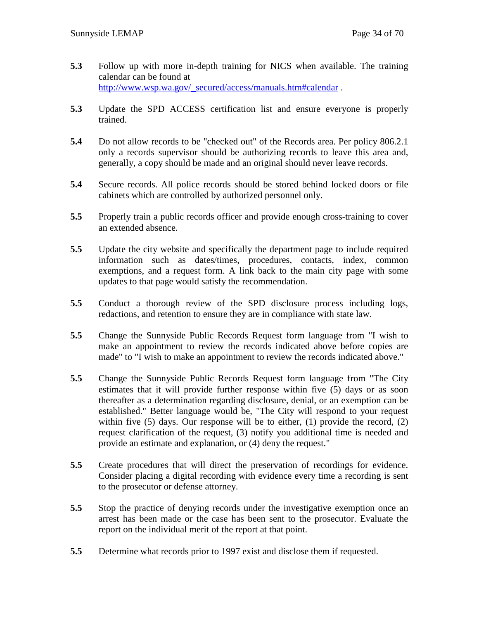- **5.3** Follow up with more in-depth training for NICS when available. The training calendar can be found at [http://www.wsp.wa.gov/\\_secured/access/manuals.htm#calendar](http://www.wsp.wa.gov/_secured/access/manuals.htm#calendar).
- **5.3** Update the SPD ACCESS certification list and ensure everyone is properly trained.
- **5.4** Do not allow records to be "checked out" of the Records area. Per policy 806.2.1 only a records supervisor should be authorizing records to leave this area and, generally, a copy should be made and an original should never leave records.
- **5.4** Secure records. All police records should be stored behind locked doors or file cabinets which are controlled by authorized personnel only.
- **5.5** Properly train a public records officer and provide enough cross-training to cover an extended absence.
- **5.5** Update the city website and specifically the department page to include required information such as dates/times, procedures, contacts, index, common exemptions, and a request form. A link back to the main city page with some updates to that page would satisfy the recommendation.
- **5.5** Conduct a thorough review of the SPD disclosure process including logs, redactions, and retention to ensure they are in compliance with state law.
- **5.5** Change the Sunnyside Public Records Request form language from "I wish to make an appointment to review the records indicated above before copies are made" to "I wish to make an appointment to review the records indicated above."
- **5.5** Change the Sunnyside Public Records Request form language from "The City estimates that it will provide further response within five (5) days or as soon thereafter as a determination regarding disclosure, denial, or an exemption can be established." Better language would be, "The City will respond to your request within five (5) days. Our response will be to either, (1) provide the record, (2) request clarification of the request, (3) notify you additional time is needed and provide an estimate and explanation, or (4) deny the request."
- **5.5** Create procedures that will direct the preservation of recordings for evidence. Consider placing a digital recording with evidence every time a recording is sent to the prosecutor or defense attorney.
- **5.5** Stop the practice of denying records under the investigative exemption once an arrest has been made or the case has been sent to the prosecutor. Evaluate the report on the individual merit of the report at that point.
- **5.5** Determine what records prior to 1997 exist and disclose them if requested.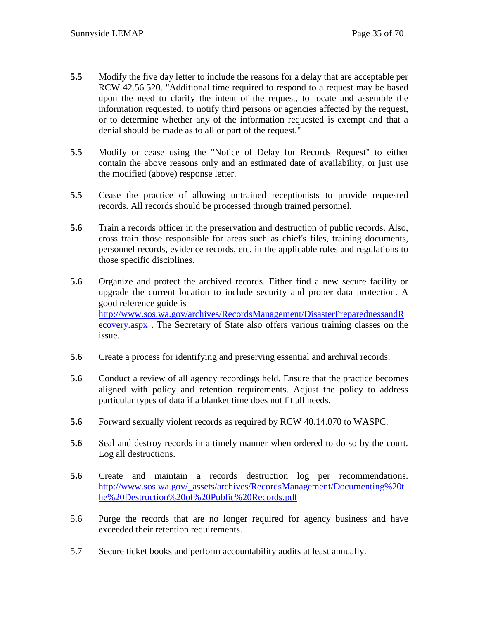- **5.5** Modify the five day letter to include the reasons for a delay that are acceptable per RCW 42.56.520. "Additional time required to respond to a request may be based upon the need to clarify the intent of the request, to locate and assemble the information requested, to notify third persons or agencies affected by the request, or to determine whether any of the information requested is exempt and that a denial should be made as to all or part of the request."
- **5.5** Modify or cease using the "Notice of Delay for Records Request" to either contain the above reasons only and an estimated date of availability, or just use the modified (above) response letter.
- **5.5** Cease the practice of allowing untrained receptionists to provide requested records. All records should be processed through trained personnel.
- **5.6** Train a records officer in the preservation and destruction of public records. Also, cross train those responsible for areas such as chief's files, training documents, personnel records, evidence records, etc. in the applicable rules and regulations to those specific disciplines.
- **5.6** Organize and protect the archived records. Either find a new secure facility or upgrade the current location to include security and proper data protection. A good reference guide is [http://www.sos.wa.gov/archives/RecordsManagement/DisasterPreparednessandR](http://www.sos.wa.gov/archives/RecordsManagement/DisasterPreparednessandRecovery.aspx) [ecovery.aspx](http://www.sos.wa.gov/archives/RecordsManagement/DisasterPreparednessandRecovery.aspx) . The Secretary of State also offers various training classes on the issue.
- **5.6** Create a process for identifying and preserving essential and archival records.
- **5.6** Conduct a review of all agency recordings held. Ensure that the practice becomes aligned with policy and retention requirements. Adjust the policy to address particular types of data if a blanket time does not fit all needs.
- **5.6** Forward sexually violent records as required by RCW 40.14.070 to WASPC.
- **5.6** Seal and destroy records in a timely manner when ordered to do so by the court. Log all destructions.
- **5.6** Create and maintain a records destruction log per recommendations. [http://www.sos.wa.gov/\\_assets/archives/RecordsManagement/Documenting%20t](http://www.sos.wa.gov/_assets/archives/RecordsManagement/Documenting%20the%20Destruction%20of%20Public%20Records.pdf) [he%20Destruction%20of%20Public%20Records.pdf](http://www.sos.wa.gov/_assets/archives/RecordsManagement/Documenting%20the%20Destruction%20of%20Public%20Records.pdf)
- 5.6 Purge the records that are no longer required for agency business and have exceeded their retention requirements.
- 5.7 Secure ticket books and perform accountability audits at least annually.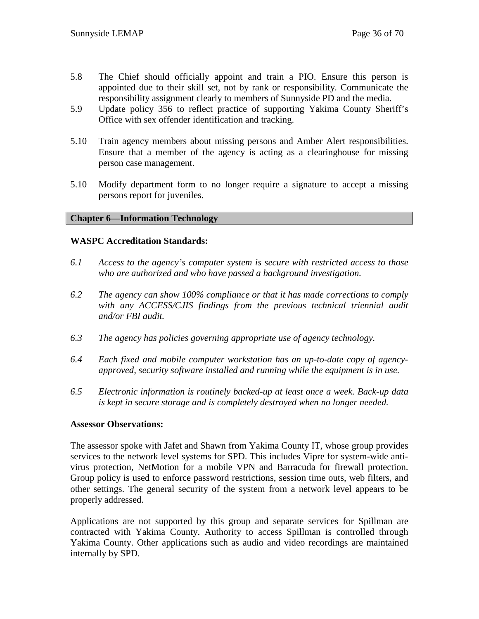- 5.8 The Chief should officially appoint and train a PIO. Ensure this person is appointed due to their skill set, not by rank or responsibility. Communicate the responsibility assignment clearly to members of Sunnyside PD and the media.
- 5.9 Update policy 356 to reflect practice of supporting Yakima County Sheriff's Office with sex offender identification and tracking.
- 5.10 Train agency members about missing persons and Amber Alert responsibilities. Ensure that a member of the agency is acting as a clearinghouse for missing person case management.
- 5.10 Modify department form to no longer require a signature to accept a missing persons report for juveniles.

## **Chapter 6—Information Technology**

#### **WASPC Accreditation Standards:**

- *6.1 Access to the agency's computer system is secure with restricted access to those who are authorized and who have passed a background investigation.*
- *6.2 The agency can show 100% compliance or that it has made corrections to comply with any ACCESS/CJIS findings from the previous technical triennial audit and/or FBI audit.*
- *6.3 The agency has policies governing appropriate use of agency technology.*
- *6.4 Each fixed and mobile computer workstation has an up-to-date copy of agencyapproved, security software installed and running while the equipment is in use.*
- *6.5 Electronic information is routinely backed-up at least once a week. Back-up data is kept in secure storage and is completely destroyed when no longer needed.*

#### **Assessor Observations:**

The assessor spoke with Jafet and Shawn from Yakima County IT, whose group provides services to the network level systems for SPD. This includes Vipre for system-wide antivirus protection, NetMotion for a mobile VPN and Barracuda for firewall protection. Group policy is used to enforce password restrictions, session time outs, web filters, and other settings. The general security of the system from a network level appears to be properly addressed.

Applications are not supported by this group and separate services for Spillman are contracted with Yakima County. Authority to access Spillman is controlled through Yakima County. Other applications such as audio and video recordings are maintained internally by SPD.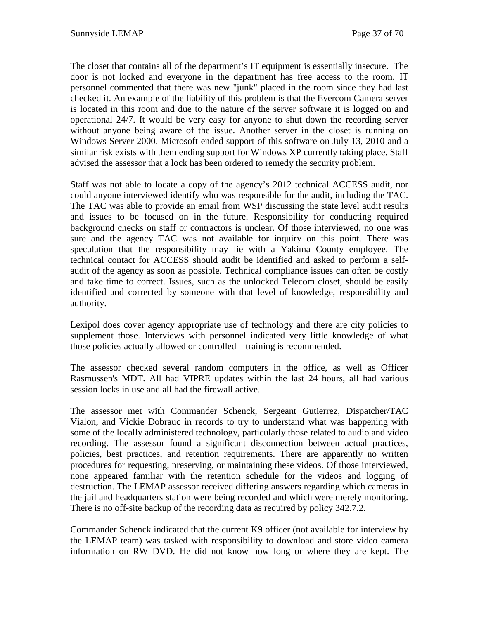The closet that contains all of the department's IT equipment is essentially insecure. The door is not locked and everyone in the department has free access to the room. IT personnel commented that there was new "junk" placed in the room since they had last checked it. An example of the liability of this problem is that the Evercom Camera server is located in this room and due to the nature of the server software it is logged on and operational 24/7. It would be very easy for anyone to shut down the recording server without anyone being aware of the issue. Another server in the closet is running on Windows Server 2000. Microsoft ended support of this software on July 13, 2010 and a similar risk exists with them ending support for Windows XP currently taking place. Staff advised the assessor that a lock has been ordered to remedy the security problem.

Staff was not able to locate a copy of the agency's 2012 technical ACCESS audit, nor could anyone interviewed identify who was responsible for the audit, including the TAC. The TAC was able to provide an email from WSP discussing the state level audit results and issues to be focused on in the future. Responsibility for conducting required background checks on staff or contractors is unclear. Of those interviewed, no one was sure and the agency TAC was not available for inquiry on this point. There was speculation that the responsibility may lie with a Yakima County employee. The technical contact for ACCESS should audit be identified and asked to perform a selfaudit of the agency as soon as possible. Technical compliance issues can often be costly and take time to correct. Issues, such as the unlocked Telecom closet, should be easily identified and corrected by someone with that level of knowledge, responsibility and authority.

Lexipol does cover agency appropriate use of technology and there are city policies to supplement those. Interviews with personnel indicated very little knowledge of what those policies actually allowed or controlled—training is recommended.

The assessor checked several random computers in the office, as well as Officer Rasmussen's MDT. All had VIPRE updates within the last 24 hours, all had various session locks in use and all had the firewall active.

The assessor met with Commander Schenck, Sergeant Gutierrez, Dispatcher/TAC Vialon, and Vickie Dobrauc in records to try to understand what was happening with some of the locally administered technology, particularly those related to audio and video recording. The assessor found a significant disconnection between actual practices, policies, best practices, and retention requirements. There are apparently no written procedures for requesting, preserving, or maintaining these videos. Of those interviewed, none appeared familiar with the retention schedule for the videos and logging of destruction. The LEMAP assessor received differing answers regarding which cameras in the jail and headquarters station were being recorded and which were merely monitoring. There is no off-site backup of the recording data as required by policy 342.7.2.

Commander Schenck indicated that the current K9 officer (not available for interview by the LEMAP team) was tasked with responsibility to download and store video camera information on RW DVD. He did not know how long or where they are kept. The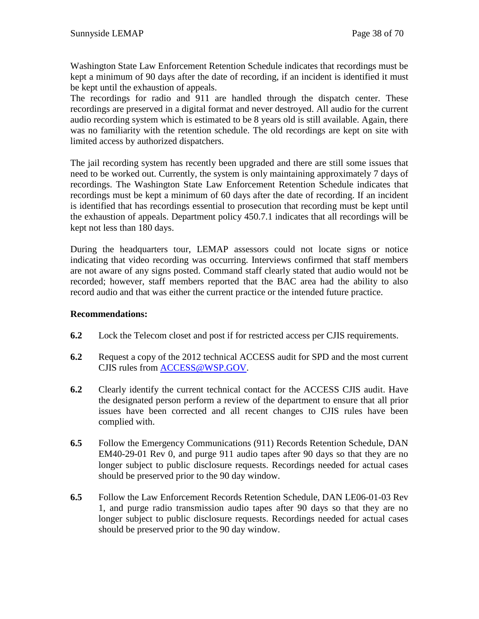Washington State Law Enforcement Retention Schedule indicates that recordings must be kept a minimum of 90 days after the date of recording, if an incident is identified it must be kept until the exhaustion of appeals.

The recordings for radio and 911 are handled through the dispatch center. These recordings are preserved in a digital format and never destroyed. All audio for the current audio recording system which is estimated to be 8 years old is still available. Again, there was no familiarity with the retention schedule. The old recordings are kept on site with limited access by authorized dispatchers.

The jail recording system has recently been upgraded and there are still some issues that need to be worked out. Currently, the system is only maintaining approximately 7 days of recordings. The Washington State Law Enforcement Retention Schedule indicates that recordings must be kept a minimum of 60 days after the date of recording. If an incident is identified that has recordings essential to prosecution that recording must be kept until the exhaustion of appeals. Department policy 450.7.1 indicates that all recordings will be kept not less than 180 days.

During the headquarters tour, LEMAP assessors could not locate signs or notice indicating that video recording was occurring. Interviews confirmed that staff members are not aware of any signs posted. Command staff clearly stated that audio would not be recorded; however, staff members reported that the BAC area had the ability to also record audio and that was either the current practice or the intended future practice.

## **Recommendations:**

- **6.2** Lock the Telecom closet and post if for restricted access per CJIS requirements.
- **6.2** Request a copy of the 2012 technical ACCESS audit for SPD and the most current CJIS rules from [ACCESS@WSP.GOV.](mailto:ACCESS@WSP.GOV)
- **6.2** Clearly identify the current technical contact for the ACCESS CJIS audit. Have the designated person perform a review of the department to ensure that all prior issues have been corrected and all recent changes to CJIS rules have been complied with.
- **6.5** Follow the Emergency Communications (911) Records Retention Schedule, DAN EM40-29-01 Rev 0, and purge 911 audio tapes after 90 days so that they are no longer subject to public disclosure requests. Recordings needed for actual cases should be preserved prior to the 90 day window.
- **6.5** Follow the Law Enforcement Records Retention Schedule, DAN LE06-01-03 Rev 1, and purge radio transmission audio tapes after 90 days so that they are no longer subject to public disclosure requests. Recordings needed for actual cases should be preserved prior to the 90 day window.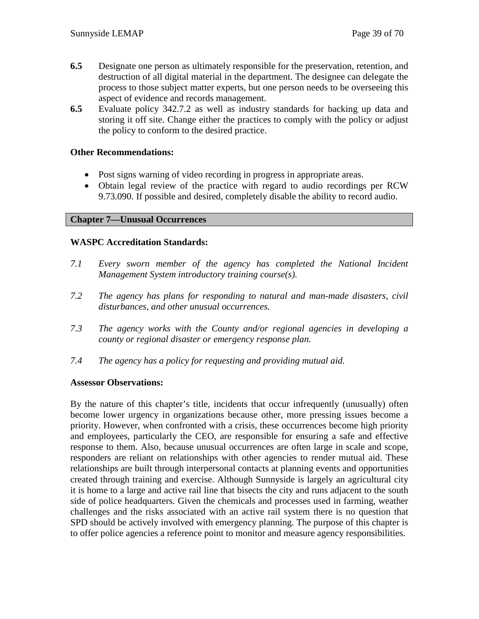- **6.5** Designate one person as ultimately responsible for the preservation, retention, and destruction of all digital material in the department. The designee can delegate the process to those subject matter experts, but one person needs to be overseeing this aspect of evidence and records management.
- **6.5** Evaluate policy 342.7.2 as well as industry standards for backing up data and storing it off site. Change either the practices to comply with the policy or adjust the policy to conform to the desired practice.

## **Other Recommendations:**

- Post signs warning of video recording in progress in appropriate areas.
- Obtain legal review of the practice with regard to audio recordings per RCW 9.73.090. If possible and desired, completely disable the ability to record audio.

## **Chapter 7—Unusual Occurrences**

## **WASPC Accreditation Standards:**

- *7.1 Every sworn member of the agency has completed the National Incident Management System introductory training course(s).*
- *7.2 The agency has plans for responding to natural and man-made disasters, civil disturbances, and other unusual occurrences.*
- *7.3 The agency works with the County and/or regional agencies in developing a county or regional disaster or emergency response plan.*
- *7.4 The agency has a policy for requesting and providing mutual aid.*

## **Assessor Observations:**

By the nature of this chapter's title, incidents that occur infrequently (unusually) often become lower urgency in organizations because other, more pressing issues become a priority. However, when confronted with a crisis, these occurrences become high priority and employees, particularly the CEO, are responsible for ensuring a safe and effective response to them. Also, because unusual occurrences are often large in scale and scope, responders are reliant on relationships with other agencies to render mutual aid. These relationships are built through interpersonal contacts at planning events and opportunities created through training and exercise. Although Sunnyside is largely an agricultural city it is home to a large and active rail line that bisects the city and runs adjacent to the south side of police headquarters. Given the chemicals and processes used in farming, weather challenges and the risks associated with an active rail system there is no question that SPD should be actively involved with emergency planning. The purpose of this chapter is to offer police agencies a reference point to monitor and measure agency responsibilities.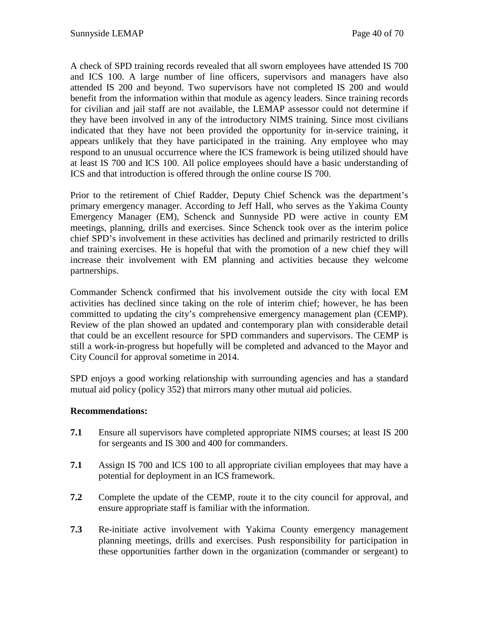A check of SPD training records revealed that all sworn employees have attended IS 700 and ICS 100. A large number of line officers, supervisors and managers have also attended IS 200 and beyond. Two supervisors have not completed IS 200 and would benefit from the information within that module as agency leaders. Since training records for civilian and jail staff are not available, the LEMAP assessor could not determine if they have been involved in any of the introductory NIMS training. Since most civilians indicated that they have not been provided the opportunity for in-service training, it appears unlikely that they have participated in the training. Any employee who may respond to an unusual occurrence where the ICS framework is being utilized should have at least IS 700 and ICS 100. All police employees should have a basic understanding of ICS and that introduction is offered through the online course IS 700.

Prior to the retirement of Chief Radder, Deputy Chief Schenck was the department's primary emergency manager. According to Jeff Hall, who serves as the Yakima County Emergency Manager (EM), Schenck and Sunnyside PD were active in county EM meetings, planning, drills and exercises. Since Schenck took over as the interim police chief SPD's involvement in these activities has declined and primarily restricted to drills and training exercises. He is hopeful that with the promotion of a new chief they will increase their involvement with EM planning and activities because they welcome partnerships.

Commander Schenck confirmed that his involvement outside the city with local EM activities has declined since taking on the role of interim chief; however, he has been committed to updating the city's comprehensive emergency management plan (CEMP). Review of the plan showed an updated and contemporary plan with considerable detail that could be an excellent resource for SPD commanders and supervisors. The CEMP is still a work-in-progress but hopefully will be completed and advanced to the Mayor and City Council for approval sometime in 2014.

SPD enjoys a good working relationship with surrounding agencies and has a standard mutual aid policy (policy 352) that mirrors many other mutual aid policies.

## **Recommendations:**

- **7.1** Ensure all supervisors have completed appropriate NIMS courses; at least IS 200 for sergeants and IS 300 and 400 for commanders.
- **7.1** Assign IS 700 and ICS 100 to all appropriate civilian employees that may have a potential for deployment in an ICS framework.
- **7.2** Complete the update of the CEMP, route it to the city council for approval, and ensure appropriate staff is familiar with the information.
- **7.3** Re-initiate active involvement with Yakima County emergency management planning meetings, drills and exercises. Push responsibility for participation in these opportunities farther down in the organization (commander or sergeant) to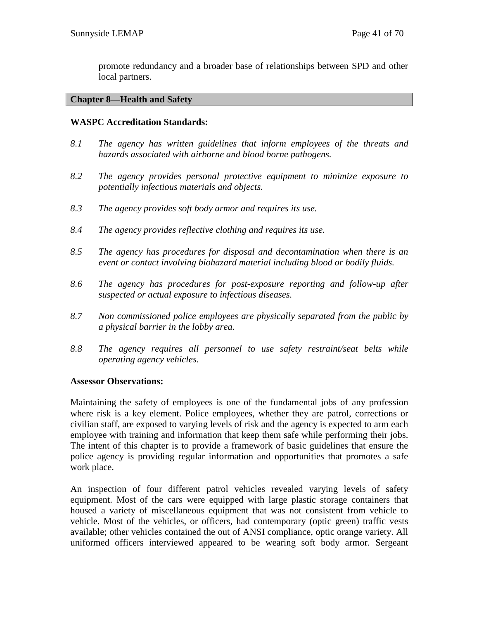promote redundancy and a broader base of relationships between SPD and other local partners.

#### **Chapter 8—Health and Safety**

## **WASPC Accreditation Standards:**

- *8.1 The agency has written guidelines that inform employees of the threats and hazards associated with airborne and blood borne pathogens.*
- *8.2 The agency provides personal protective equipment to minimize exposure to potentially infectious materials and objects.*
- *8.3 The agency provides soft body armor and requires its use.*
- *8.4 The agency provides reflective clothing and requires its use.*
- *8.5 The agency has procedures for disposal and decontamination when there is an event or contact involving biohazard material including blood or bodily fluids.*
- *8.6 The agency has procedures for post-exposure reporting and follow-up after suspected or actual exposure to infectious diseases.*
- *8.7 Non commissioned police employees are physically separated from the public by a physical barrier in the lobby area.*
- *8.8 The agency requires all personnel to use safety restraint/seat belts while operating agency vehicles.*

#### **Assessor Observations:**

Maintaining the safety of employees is one of the fundamental jobs of any profession where risk is a key element. Police employees, whether they are patrol, corrections or civilian staff, are exposed to varying levels of risk and the agency is expected to arm each employee with training and information that keep them safe while performing their jobs. The intent of this chapter is to provide a framework of basic guidelines that ensure the police agency is providing regular information and opportunities that promotes a safe work place.

An inspection of four different patrol vehicles revealed varying levels of safety equipment. Most of the cars were equipped with large plastic storage containers that housed a variety of miscellaneous equipment that was not consistent from vehicle to vehicle. Most of the vehicles, or officers, had contemporary (optic green) traffic vests available; other vehicles contained the out of ANSI compliance, optic orange variety. All uniformed officers interviewed appeared to be wearing soft body armor. Sergeant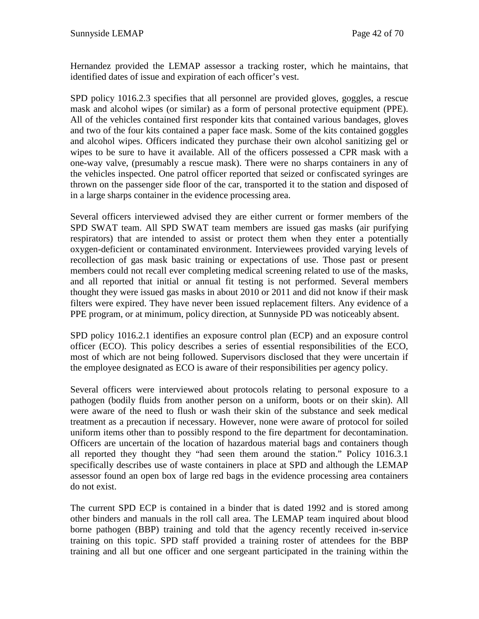Hernandez provided the LEMAP assessor a tracking roster, which he maintains, that identified dates of issue and expiration of each officer's vest.

SPD policy 1016.2.3 specifies that all personnel are provided gloves, goggles, a rescue mask and alcohol wipes (or similar) as a form of personal protective equipment (PPE). All of the vehicles contained first responder kits that contained various bandages, gloves and two of the four kits contained a paper face mask. Some of the kits contained goggles and alcohol wipes. Officers indicated they purchase their own alcohol sanitizing gel or wipes to be sure to have it available. All of the officers possessed a CPR mask with a one-way valve, (presumably a rescue mask). There were no sharps containers in any of the vehicles inspected. One patrol officer reported that seized or confiscated syringes are thrown on the passenger side floor of the car, transported it to the station and disposed of in a large sharps container in the evidence processing area.

Several officers interviewed advised they are either current or former members of the SPD SWAT team. All SPD SWAT team members are issued gas masks (air purifying respirators) that are intended to assist or protect them when they enter a potentially oxygen-deficient or contaminated environment. Interviewees provided varying levels of recollection of gas mask basic training or expectations of use. Those past or present members could not recall ever completing medical screening related to use of the masks, and all reported that initial or annual fit testing is not performed. Several members thought they were issued gas masks in about 2010 or 2011 and did not know if their mask filters were expired. They have never been issued replacement filters. Any evidence of a PPE program, or at minimum, policy direction, at Sunnyside PD was noticeably absent.

SPD policy 1016.2.1 identifies an exposure control plan (ECP) and an exposure control officer (ECO). This policy describes a series of essential responsibilities of the ECO, most of which are not being followed. Supervisors disclosed that they were uncertain if the employee designated as ECO is aware of their responsibilities per agency policy.

Several officers were interviewed about protocols relating to personal exposure to a pathogen (bodily fluids from another person on a uniform, boots or on their skin). All were aware of the need to flush or wash their skin of the substance and seek medical treatment as a precaution if necessary. However, none were aware of protocol for soiled uniform items other than to possibly respond to the fire department for decontamination. Officers are uncertain of the location of hazardous material bags and containers though all reported they thought they "had seen them around the station." Policy 1016.3.1 specifically describes use of waste containers in place at SPD and although the LEMAP assessor found an open box of large red bags in the evidence processing area containers do not exist.

The current SPD ECP is contained in a binder that is dated 1992 and is stored among other binders and manuals in the roll call area. The LEMAP team inquired about blood borne pathogen (BBP) training and told that the agency recently received in-service training on this topic. SPD staff provided a training roster of attendees for the BBP training and all but one officer and one sergeant participated in the training within the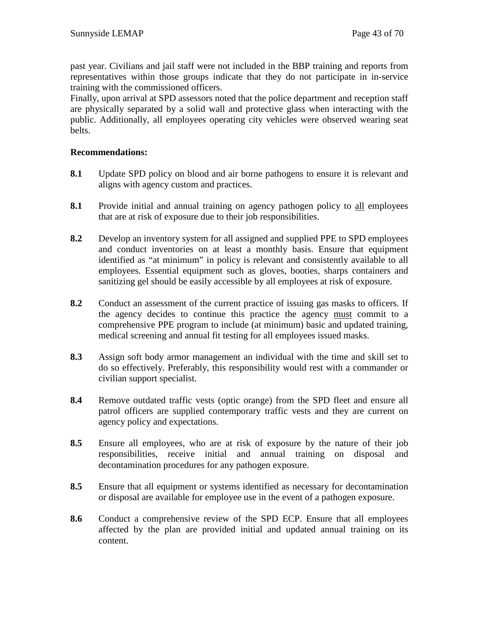past year. Civilians and jail staff were not included in the BBP training and reports from representatives within those groups indicate that they do not participate in in-service training with the commissioned officers.

Finally, upon arrival at SPD assessors noted that the police department and reception staff are physically separated by a solid wall and protective glass when interacting with the public. Additionally, all employees operating city vehicles were observed wearing seat belts.

## **Recommendations:**

- **8.1** Update SPD policy on blood and air borne pathogens to ensure it is relevant and aligns with agency custom and practices.
- **8.1** Provide initial and annual training on agency pathogen policy to all employees that are at risk of exposure due to their job responsibilities.
- **8.2** Develop an inventory system for all assigned and supplied PPE to SPD employees and conduct inventories on at least a monthly basis. Ensure that equipment identified as "at minimum" in policy is relevant and consistently available to all employees. Essential equipment such as gloves, booties, sharps containers and sanitizing gel should be easily accessible by all employees at risk of exposure.
- **8.2** Conduct an assessment of the current practice of issuing gas masks to officers. If the agency decides to continue this practice the agency must commit to a comprehensive PPE program to include (at minimum) basic and updated training, medical screening and annual fit testing for all employees issued masks.
- **8.3** Assign soft body armor management an individual with the time and skill set to do so effectively. Preferably, this responsibility would rest with a commander or civilian support specialist.
- **8.4** Remove outdated traffic vests (optic orange) from the SPD fleet and ensure all patrol officers are supplied contemporary traffic vests and they are current on agency policy and expectations.
- **8.5** Ensure all employees, who are at risk of exposure by the nature of their job responsibilities, receive initial and annual training on disposal and decontamination procedures for any pathogen exposure.
- **8.5** Ensure that all equipment or systems identified as necessary for decontamination or disposal are available for employee use in the event of a pathogen exposure.
- **8.6** Conduct a comprehensive review of the SPD ECP. Ensure that all employees affected by the plan are provided initial and updated annual training on its content.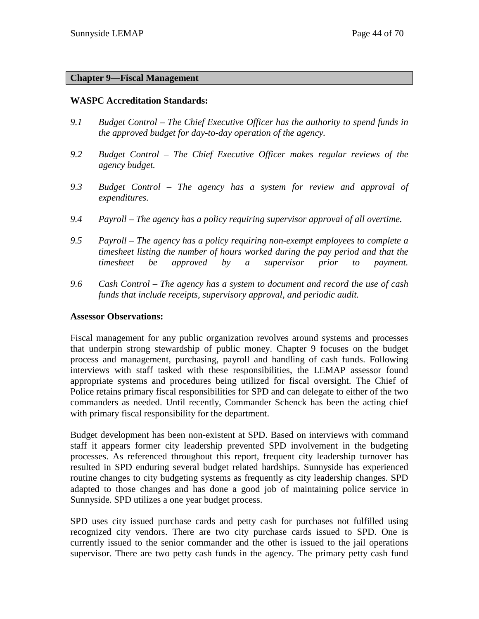## **Chapter 9—Fiscal Management**

#### **WASPC Accreditation Standards:**

- *9.1 Budget Control – The Chief Executive Officer has the authority to spend funds in the approved budget for day-to-day operation of the agency.*
- *9.2 Budget Control – The Chief Executive Officer makes regular reviews of the agency budget.*
- *9.3 Budget Control – The agency has a system for review and approval of expenditures.*
- *9.4 Payroll – The agency has a policy requiring supervisor approval of all overtime.*
- *9.5 Payroll – The agency has a policy requiring non-exempt employees to complete a timesheet listing the number of hours worked during the pay period and that the timesheet be approved by a supervisor prior to payment.*
- *9.6 Cash Control – The agency has a system to document and record the use of cash funds that include receipts, supervisory approval, and periodic audit.*

#### **Assessor Observations:**

Fiscal management for any public organization revolves around systems and processes that underpin strong stewardship of public money. Chapter 9 focuses on the budget process and management, purchasing, payroll and handling of cash funds. Following interviews with staff tasked with these responsibilities, the LEMAP assessor found appropriate systems and procedures being utilized for fiscal oversight. The Chief of Police retains primary fiscal responsibilities for SPD and can delegate to either of the two commanders as needed. Until recently, Commander Schenck has been the acting chief with primary fiscal responsibility for the department.

Budget development has been non-existent at SPD. Based on interviews with command staff it appears former city leadership prevented SPD involvement in the budgeting processes. As referenced throughout this report, frequent city leadership turnover has resulted in SPD enduring several budget related hardships. Sunnyside has experienced routine changes to city budgeting systems as frequently as city leadership changes. SPD adapted to those changes and has done a good job of maintaining police service in Sunnyside. SPD utilizes a one year budget process.

SPD uses city issued purchase cards and petty cash for purchases not fulfilled using recognized city vendors. There are two city purchase cards issued to SPD. One is currently issued to the senior commander and the other is issued to the jail operations supervisor. There are two petty cash funds in the agency. The primary petty cash fund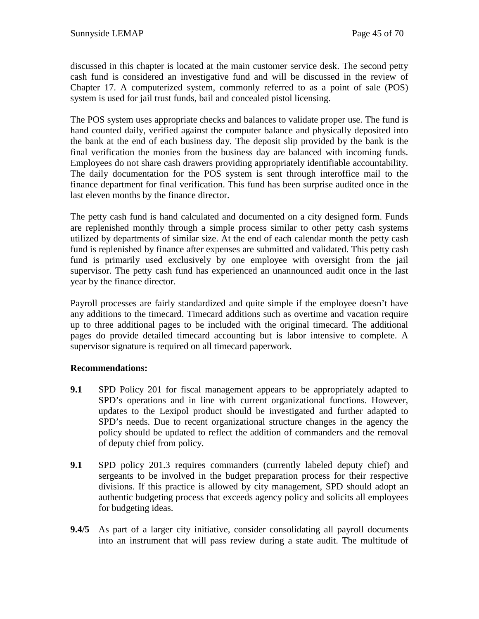discussed in this chapter is located at the main customer service desk. The second petty cash fund is considered an investigative fund and will be discussed in the review of Chapter 17. A computerized system, commonly referred to as a point of sale (POS) system is used for jail trust funds, bail and concealed pistol licensing.

The POS system uses appropriate checks and balances to validate proper use. The fund is hand counted daily, verified against the computer balance and physically deposited into the bank at the end of each business day. The deposit slip provided by the bank is the final verification the monies from the business day are balanced with incoming funds. Employees do not share cash drawers providing appropriately identifiable accountability. The daily documentation for the POS system is sent through interoffice mail to the finance department for final verification. This fund has been surprise audited once in the last eleven months by the finance director.

The petty cash fund is hand calculated and documented on a city designed form. Funds are replenished monthly through a simple process similar to other petty cash systems utilized by departments of similar size. At the end of each calendar month the petty cash fund is replenished by finance after expenses are submitted and validated. This petty cash fund is primarily used exclusively by one employee with oversight from the jail supervisor. The petty cash fund has experienced an unannounced audit once in the last year by the finance director.

Payroll processes are fairly standardized and quite simple if the employee doesn't have any additions to the timecard. Timecard additions such as overtime and vacation require up to three additional pages to be included with the original timecard. The additional pages do provide detailed timecard accounting but is labor intensive to complete. A supervisor signature is required on all timecard paperwork.

## **Recommendations:**

- **9.1** SPD Policy 201 for fiscal management appears to be appropriately adapted to SPD's operations and in line with current organizational functions. However, updates to the Lexipol product should be investigated and further adapted to SPD's needs. Due to recent organizational structure changes in the agency the policy should be updated to reflect the addition of commanders and the removal of deputy chief from policy.
- **9.1** SPD policy 201.3 requires commanders (currently labeled deputy chief) and sergeants to be involved in the budget preparation process for their respective divisions. If this practice is allowed by city management, SPD should adopt an authentic budgeting process that exceeds agency policy and solicits all employees for budgeting ideas.
- **9.4/5** As part of a larger city initiative, consider consolidating all payroll documents into an instrument that will pass review during a state audit. The multitude of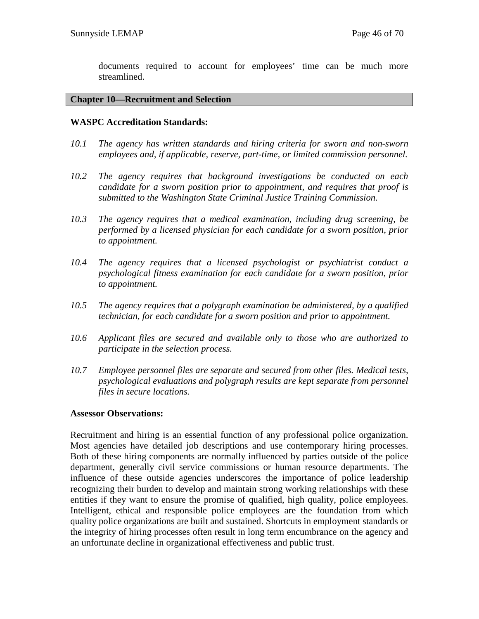documents required to account for employees' time can be much more streamlined.

#### **Chapter 10—Recruitment and Selection**

#### **WASPC Accreditation Standards:**

- *10.1 The agency has written standards and hiring criteria for sworn and non-sworn employees and, if applicable, reserve, part-time, or limited commission personnel.*
- *10.2 The agency requires that background investigations be conducted on each candidate for a sworn position prior to appointment, and requires that proof is submitted to the Washington State Criminal Justice Training Commission.*
- *10.3 The agency requires that a medical examination, including drug screening, be performed by a licensed physician for each candidate for a sworn position, prior to appointment.*
- *10.4 The agency requires that a licensed psychologist or psychiatrist conduct a psychological fitness examination for each candidate for a sworn position, prior to appointment.*
- *10.5 The agency requires that a polygraph examination be administered, by a qualified technician, for each candidate for a sworn position and prior to appointment.*
- *10.6 Applicant files are secured and available only to those who are authorized to participate in the selection process.*
- *10.7 Employee personnel files are separate and secured from other files. Medical tests, psychological evaluations and polygraph results are kept separate from personnel files in secure locations.*

#### **Assessor Observations:**

Recruitment and hiring is an essential function of any professional police organization. Most agencies have detailed job descriptions and use contemporary hiring processes. Both of these hiring components are normally influenced by parties outside of the police department, generally civil service commissions or human resource departments. The influence of these outside agencies underscores the importance of police leadership recognizing their burden to develop and maintain strong working relationships with these entities if they want to ensure the promise of qualified, high quality, police employees. Intelligent, ethical and responsible police employees are the foundation from which quality police organizations are built and sustained. Shortcuts in employment standards or the integrity of hiring processes often result in long term encumbrance on the agency and an unfortunate decline in organizational effectiveness and public trust.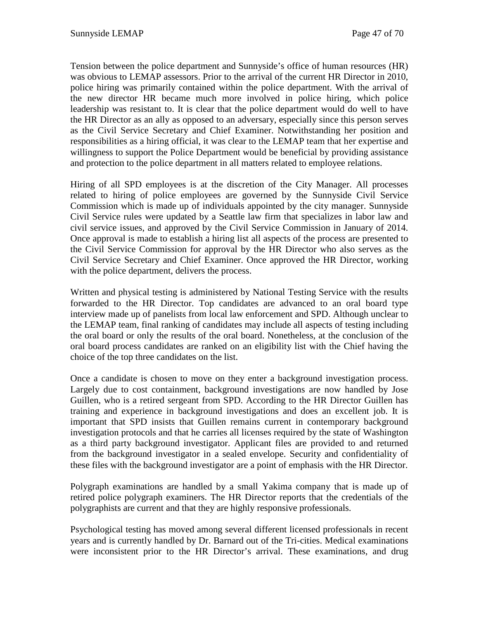Tension between the police department and Sunnyside's office of human resources (HR) was obvious to LEMAP assessors. Prior to the arrival of the current HR Director in 2010, police hiring was primarily contained within the police department. With the arrival of the new director HR became much more involved in police hiring, which police leadership was resistant to. It is clear that the police department would do well to have the HR Director as an ally as opposed to an adversary, especially since this person serves as the Civil Service Secretary and Chief Examiner. Notwithstanding her position and responsibilities as a hiring official, it was clear to the LEMAP team that her expertise and willingness to support the Police Department would be beneficial by providing assistance and protection to the police department in all matters related to employee relations.

Hiring of all SPD employees is at the discretion of the City Manager. All processes related to hiring of police employees are governed by the Sunnyside Civil Service Commission which is made up of individuals appointed by the city manager. Sunnyside Civil Service rules were updated by a Seattle law firm that specializes in labor law and civil service issues, and approved by the Civil Service Commission in January of 2014. Once approval is made to establish a hiring list all aspects of the process are presented to the Civil Service Commission for approval by the HR Director who also serves as the Civil Service Secretary and Chief Examiner. Once approved the HR Director, working with the police department, delivers the process.

Written and physical testing is administered by National Testing Service with the results forwarded to the HR Director. Top candidates are advanced to an oral board type interview made up of panelists from local law enforcement and SPD. Although unclear to the LEMAP team, final ranking of candidates may include all aspects of testing including the oral board or only the results of the oral board. Nonetheless, at the conclusion of the oral board process candidates are ranked on an eligibility list with the Chief having the choice of the top three candidates on the list.

Once a candidate is chosen to move on they enter a background investigation process. Largely due to cost containment, background investigations are now handled by Jose Guillen, who is a retired sergeant from SPD. According to the HR Director Guillen has training and experience in background investigations and does an excellent job. It is important that SPD insists that Guillen remains current in contemporary background investigation protocols and that he carries all licenses required by the state of Washington as a third party background investigator. Applicant files are provided to and returned from the background investigator in a sealed envelope. Security and confidentiality of these files with the background investigator are a point of emphasis with the HR Director.

Polygraph examinations are handled by a small Yakima company that is made up of retired police polygraph examiners. The HR Director reports that the credentials of the polygraphists are current and that they are highly responsive professionals.

Psychological testing has moved among several different licensed professionals in recent years and is currently handled by Dr. Barnard out of the Tri-cities. Medical examinations were inconsistent prior to the HR Director's arrival. These examinations, and drug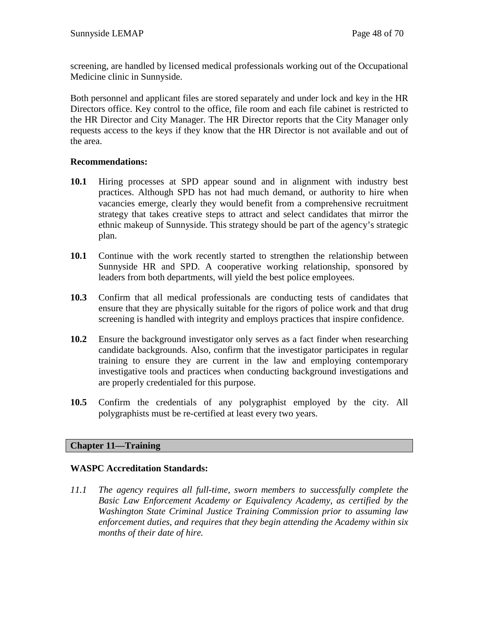screening, are handled by licensed medical professionals working out of the Occupational Medicine clinic in Sunnyside.

Both personnel and applicant files are stored separately and under lock and key in the HR Directors office. Key control to the office, file room and each file cabinet is restricted to the HR Director and City Manager. The HR Director reports that the City Manager only requests access to the keys if they know that the HR Director is not available and out of the area.

## **Recommendations:**

- **10.1** Hiring processes at SPD appear sound and in alignment with industry best practices. Although SPD has not had much demand, or authority to hire when vacancies emerge, clearly they would benefit from a comprehensive recruitment strategy that takes creative steps to attract and select candidates that mirror the ethnic makeup of Sunnyside. This strategy should be part of the agency's strategic plan.
- **10.1** Continue with the work recently started to strengthen the relationship between Sunnyside HR and SPD. A cooperative working relationship, sponsored by leaders from both departments, will yield the best police employees.
- **10.3** Confirm that all medical professionals are conducting tests of candidates that ensure that they are physically suitable for the rigors of police work and that drug screening is handled with integrity and employs practices that inspire confidence.
- **10.2** Ensure the background investigator only serves as a fact finder when researching candidate backgrounds. Also, confirm that the investigator participates in regular training to ensure they are current in the law and employing contemporary investigative tools and practices when conducting background investigations and are properly credentialed for this purpose.
- **10.5** Confirm the credentials of any polygraphist employed by the city. All polygraphists must be re-certified at least every two years.

## **Chapter 11—Training**

## **WASPC Accreditation Standards:**

*11.1 The agency requires all full-time, sworn members to successfully complete the Basic Law Enforcement Academy or Equivalency Academy, as certified by the Washington State Criminal Justice Training Commission prior to assuming law enforcement duties, and requires that they begin attending the Academy within six months of their date of hire.*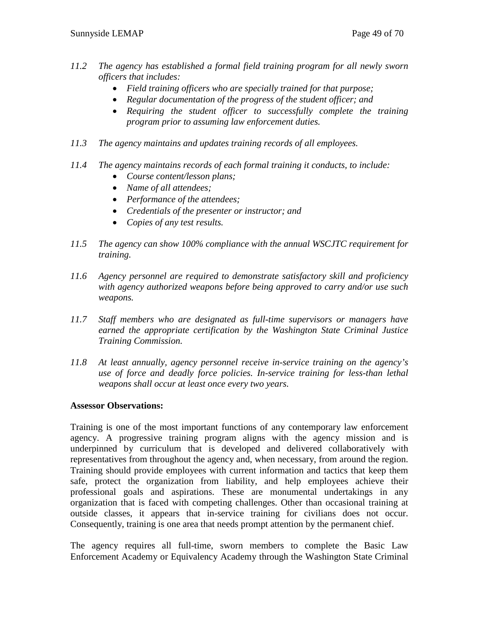- *11.2 The agency has established a formal field training program for all newly sworn officers that includes:*
	- *Field training officers who are specially trained for that purpose;*
	- *Regular documentation of the progress of the student officer; and*
	- *Requiring the student officer to successfully complete the training program prior to assuming law enforcement duties.*
- *11.3 The agency maintains and updates training records of all employees.*
- *11.4 The agency maintains records of each formal training it conducts, to include:*
	- *Course content/lesson plans;*
	- *Name of all attendees;*
	- *Performance of the attendees;*
	- *Credentials of the presenter or instructor; and*
	- *Copies of any test results.*
- *11.5 The agency can show 100% compliance with the annual WSCJTC requirement for training.*
- *11.6 Agency personnel are required to demonstrate satisfactory skill and proficiency with agency authorized weapons before being approved to carry and/or use such weapons.*
- *11.7 Staff members who are designated as full-time supervisors or managers have earned the appropriate certification by the Washington State Criminal Justice Training Commission.*
- *11.8 At least annually, agency personnel receive in-service training on the agency's use of force and deadly force policies. In-service training for less-than lethal weapons shall occur at least once every two years.*

## **Assessor Observations:**

Training is one of the most important functions of any contemporary law enforcement agency. A progressive training program aligns with the agency mission and is underpinned by curriculum that is developed and delivered collaboratively with representatives from throughout the agency and, when necessary, from around the region. Training should provide employees with current information and tactics that keep them safe, protect the organization from liability, and help employees achieve their professional goals and aspirations. These are monumental undertakings in any organization that is faced with competing challenges. Other than occasional training at outside classes, it appears that in-service training for civilians does not occur. Consequently, training is one area that needs prompt attention by the permanent chief.

The agency requires all full-time, sworn members to complete the Basic Law Enforcement Academy or Equivalency Academy through the Washington State Criminal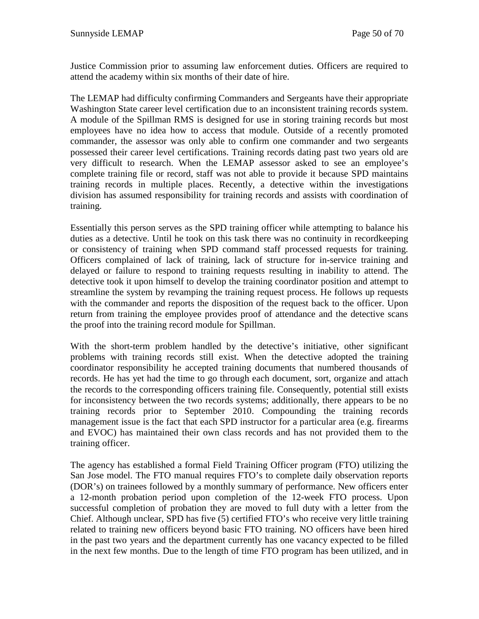Justice Commission prior to assuming law enforcement duties. Officers are required to attend the academy within six months of their date of hire.

The LEMAP had difficulty confirming Commanders and Sergeants have their appropriate Washington State career level certification due to an inconsistent training records system. A module of the Spillman RMS is designed for use in storing training records but most employees have no idea how to access that module. Outside of a recently promoted commander, the assessor was only able to confirm one commander and two sergeants possessed their career level certifications. Training records dating past two years old are very difficult to research. When the LEMAP assessor asked to see an employee's complete training file or record, staff was not able to provide it because SPD maintains training records in multiple places. Recently, a detective within the investigations division has assumed responsibility for training records and assists with coordination of training.

Essentially this person serves as the SPD training officer while attempting to balance his duties as a detective. Until he took on this task there was no continuity in recordkeeping or consistency of training when SPD command staff processed requests for training. Officers complained of lack of training, lack of structure for in-service training and delayed or failure to respond to training requests resulting in inability to attend. The detective took it upon himself to develop the training coordinator position and attempt to streamline the system by revamping the training request process. He follows up requests with the commander and reports the disposition of the request back to the officer. Upon return from training the employee provides proof of attendance and the detective scans the proof into the training record module for Spillman.

With the short-term problem handled by the detective's initiative, other significant problems with training records still exist. When the detective adopted the training coordinator responsibility he accepted training documents that numbered thousands of records. He has yet had the time to go through each document, sort, organize and attach the records to the corresponding officers training file. Consequently, potential still exists for inconsistency between the two records systems; additionally, there appears to be no training records prior to September 2010. Compounding the training records management issue is the fact that each SPD instructor for a particular area (e.g. firearms and EVOC) has maintained their own class records and has not provided them to the training officer.

The agency has established a formal Field Training Officer program (FTO) utilizing the San Jose model. The FTO manual requires FTO's to complete daily observation reports (DOR's) on trainees followed by a monthly summary of performance. New officers enter a 12-month probation period upon completion of the 12-week FTO process. Upon successful completion of probation they are moved to full duty with a letter from the Chief. Although unclear, SPD has five (5) certified FTO's who receive very little training related to training new officers beyond basic FTO training. NO officers have been hired in the past two years and the department currently has one vacancy expected to be filled in the next few months. Due to the length of time FTO program has been utilized, and in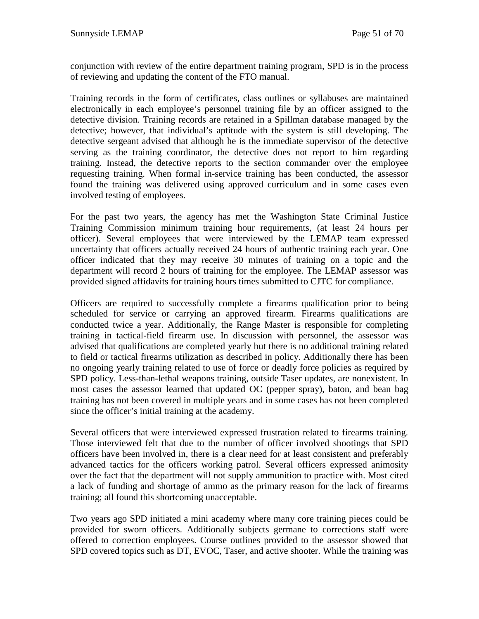conjunction with review of the entire department training program, SPD is in the process of reviewing and updating the content of the FTO manual.

Training records in the form of certificates, class outlines or syllabuses are maintained electronically in each employee's personnel training file by an officer assigned to the detective division. Training records are retained in a Spillman database managed by the detective; however, that individual's aptitude with the system is still developing. The detective sergeant advised that although he is the immediate supervisor of the detective serving as the training coordinator, the detective does not report to him regarding training. Instead, the detective reports to the section commander over the employee requesting training. When formal in-service training has been conducted, the assessor found the training was delivered using approved curriculum and in some cases even involved testing of employees.

For the past two years, the agency has met the Washington State Criminal Justice Training Commission minimum training hour requirements, (at least 24 hours per officer). Several employees that were interviewed by the LEMAP team expressed uncertainty that officers actually received 24 hours of authentic training each year. One officer indicated that they may receive 30 minutes of training on a topic and the department will record 2 hours of training for the employee. The LEMAP assessor was provided signed affidavits for training hours times submitted to CJTC for compliance.

Officers are required to successfully complete a firearms qualification prior to being scheduled for service or carrying an approved firearm. Firearms qualifications are conducted twice a year. Additionally, the Range Master is responsible for completing training in tactical-field firearm use. In discussion with personnel, the assessor was advised that qualifications are completed yearly but there is no additional training related to field or tactical firearms utilization as described in policy. Additionally there has been no ongoing yearly training related to use of force or deadly force policies as required by SPD policy. Less-than-lethal weapons training, outside Taser updates, are nonexistent. In most cases the assessor learned that updated OC (pepper spray), baton, and bean bag training has not been covered in multiple years and in some cases has not been completed since the officer's initial training at the academy.

Several officers that were interviewed expressed frustration related to firearms training. Those interviewed felt that due to the number of officer involved shootings that SPD officers have been involved in, there is a clear need for at least consistent and preferably advanced tactics for the officers working patrol. Several officers expressed animosity over the fact that the department will not supply ammunition to practice with. Most cited a lack of funding and shortage of ammo as the primary reason for the lack of firearms training; all found this shortcoming unacceptable.

Two years ago SPD initiated a mini academy where many core training pieces could be provided for sworn officers. Additionally subjects germane to corrections staff were offered to correction employees. Course outlines provided to the assessor showed that SPD covered topics such as DT, EVOC, Taser, and active shooter. While the training was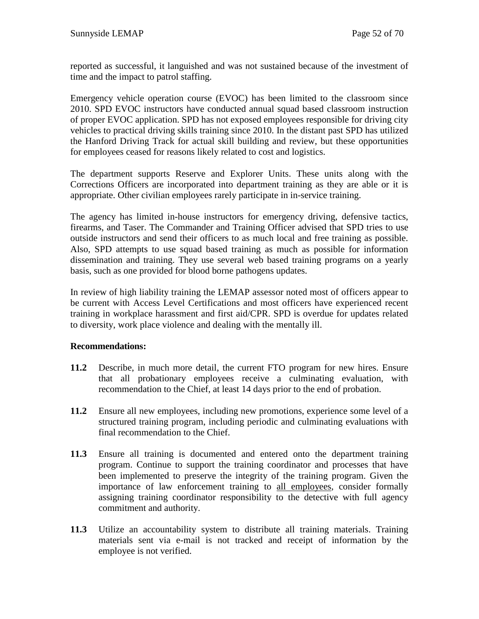reported as successful, it languished and was not sustained because of the investment of time and the impact to patrol staffing.

Emergency vehicle operation course (EVOC) has been limited to the classroom since 2010. SPD EVOC instructors have conducted annual squad based classroom instruction of proper EVOC application. SPD has not exposed employees responsible for driving city vehicles to practical driving skills training since 2010. In the distant past SPD has utilized the Hanford Driving Track for actual skill building and review, but these opportunities for employees ceased for reasons likely related to cost and logistics.

The department supports Reserve and Explorer Units. These units along with the Corrections Officers are incorporated into department training as they are able or it is appropriate. Other civilian employees rarely participate in in-service training.

The agency has limited in-house instructors for emergency driving, defensive tactics, firearms, and Taser. The Commander and Training Officer advised that SPD tries to use outside instructors and send their officers to as much local and free training as possible. Also, SPD attempts to use squad based training as much as possible for information dissemination and training. They use several web based training programs on a yearly basis, such as one provided for blood borne pathogens updates.

In review of high liability training the LEMAP assessor noted most of officers appear to be current with Access Level Certifications and most officers have experienced recent training in workplace harassment and first aid/CPR. SPD is overdue for updates related to diversity, work place violence and dealing with the mentally ill.

## **Recommendations:**

- **11.2** Describe, in much more detail, the current FTO program for new hires. Ensure that all probationary employees receive a culminating evaluation, with recommendation to the Chief, at least 14 days prior to the end of probation.
- **11.2** Ensure all new employees, including new promotions, experience some level of a structured training program, including periodic and culminating evaluations with final recommendation to the Chief.
- **11.3** Ensure all training is documented and entered onto the department training program. Continue to support the training coordinator and processes that have been implemented to preserve the integrity of the training program. Given the importance of law enforcement training to all employees, consider formally assigning training coordinator responsibility to the detective with full agency commitment and authority.
- **11.3** Utilize an accountability system to distribute all training materials. Training materials sent via e-mail is not tracked and receipt of information by the employee is not verified.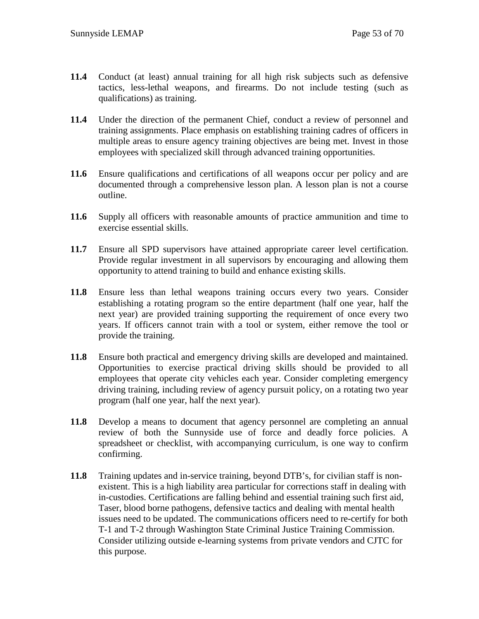- **11.4** Conduct (at least) annual training for all high risk subjects such as defensive tactics, less-lethal weapons, and firearms. Do not include testing (such as qualifications) as training.
- **11.4** Under the direction of the permanent Chief, conduct a review of personnel and training assignments. Place emphasis on establishing training cadres of officers in multiple areas to ensure agency training objectives are being met. Invest in those employees with specialized skill through advanced training opportunities.
- **11.6** Ensure qualifications and certifications of all weapons occur per policy and are documented through a comprehensive lesson plan. A lesson plan is not a course outline.
- **11.6** Supply all officers with reasonable amounts of practice ammunition and time to exercise essential skills.
- **11.7** Ensure all SPD supervisors have attained appropriate career level certification. Provide regular investment in all supervisors by encouraging and allowing them opportunity to attend training to build and enhance existing skills.
- **11.8** Ensure less than lethal weapons training occurs every two years. Consider establishing a rotating program so the entire department (half one year, half the next year) are provided training supporting the requirement of once every two years. If officers cannot train with a tool or system, either remove the tool or provide the training.
- **11.8** Ensure both practical and emergency driving skills are developed and maintained. Opportunities to exercise practical driving skills should be provided to all employees that operate city vehicles each year. Consider completing emergency driving training, including review of agency pursuit policy, on a rotating two year program (half one year, half the next year).
- **11.8** Develop a means to document that agency personnel are completing an annual review of both the Sunnyside use of force and deadly force policies. A spreadsheet or checklist, with accompanying curriculum, is one way to confirm confirming.
- **11.8** Training updates and in-service training, beyond DTB's, for civilian staff is nonexistent. This is a high liability area particular for corrections staff in dealing with in-custodies. Certifications are falling behind and essential training such first aid, Taser, blood borne pathogens, defensive tactics and dealing with mental health issues need to be updated. The communications officers need to re-certify for both T-1 and T-2 through Washington State Criminal Justice Training Commission. Consider utilizing outside e-learning systems from private vendors and CJTC for this purpose.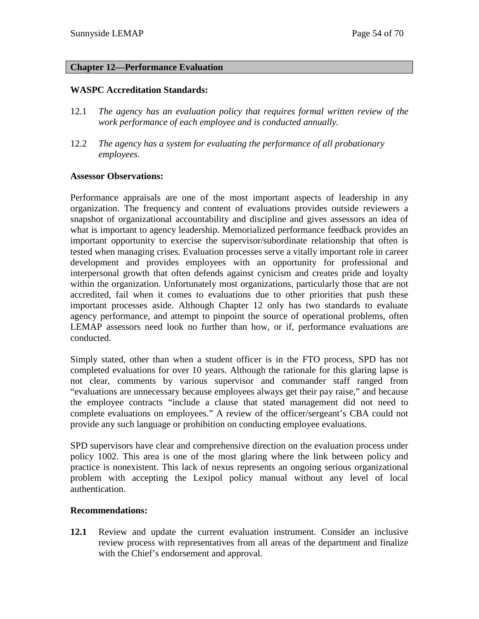#### **Chapter 12—Performance Evaluation**

## **WASPC Accreditation Standards:**

- 12.1 *The agency has an evaluation policy that requires formal written review of the work performance of each employee and is conducted annually.*
- 12.2 *The agency has a system for evaluating the performance of all probationary employees.*

#### **Assessor Observations:**

Performance appraisals are one of the most important aspects of leadership in any organization. The frequency and content of evaluations provides outside reviewers a snapshot of organizational accountability and discipline and gives assessors an idea of what is important to agency leadership. Memorialized performance feedback provides an important opportunity to exercise the supervisor/subordinate relationship that often is tested when managing crises. Evaluation processes serve a vitally important role in career development and provides employees with an opportunity for professional and interpersonal growth that often defends against cynicism and creates pride and loyalty within the organization. Unfortunately most organizations, particularly those that are not accredited, fail when it comes to evaluations due to other priorities that push these important processes aside. Although Chapter 12 only has two standards to evaluate agency performance, and attempt to pinpoint the source of operational problems, often LEMAP assessors need look no further than how, or if, performance evaluations are conducted.

Simply stated, other than when a student officer is in the FTO process, SPD has not completed evaluations for over 10 years. Although the rationale for this glaring lapse is not clear, comments by various supervisor and commander staff ranged from "evaluations are unnecessary because employees always get their pay raise," and because the employee contracts "include a clause that stated management did not need to complete evaluations on employees." A review of the officer/sergeant's CBA could not provide any such language or prohibition on conducting employee evaluations.

SPD supervisors have clear and comprehensive direction on the evaluation process under policy 1002. This area is one of the most glaring where the link between policy and practice is nonexistent. This lack of nexus represents an ongoing serious organizational problem with accepting the Lexipol policy manual without any level of local authentication.

#### **Recommendations:**

**12.1** Review and update the current evaluation instrument. Consider an inclusive review process with representatives from all areas of the department and finalize with the Chief's endorsement and approval.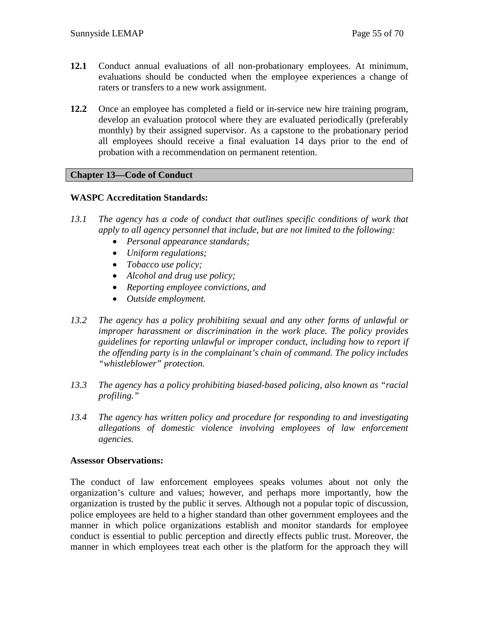- **12.1** Conduct annual evaluations of all non-probationary employees. At minimum, evaluations should be conducted when the employee experiences a change of raters or transfers to a new work assignment.
- **12.2** Once an employee has completed a field or in-service new hire training program, develop an evaluation protocol where they are evaluated periodically (preferably monthly) by their assigned supervisor. As a capstone to the probationary period all employees should receive a final evaluation 14 days prior to the end of probation with a recommendation on permanent retention.

## **Chapter 13—Code of Conduct**

## **WASPC Accreditation Standards:**

- *13.1 The agency has a code of conduct that outlines specific conditions of work that apply to all agency personnel that include, but are not limited to the following:*
	- *Personal appearance standards;*
	- *Uniform regulations;*
	- *Tobacco use policy;*
	- *Alcohol and drug use policy;*
	- *Reporting employee convictions, and*
	- *Outside employment.*
- *13.2 The agency has a policy prohibiting sexual and any other forms of unlawful or improper harassment or discrimination in the work place. The policy provides guidelines for reporting unlawful or improper conduct, including how to report if the offending party is in the complainant's chain of command. The policy includes "whistleblower" protection.*
- *13.3 The agency has a policy prohibiting biased-based policing, also known as "racial profiling."*
- *13.4 The agency has written policy and procedure for responding to and investigating allegations of domestic violence involving employees of law enforcement agencies.*

#### **Assessor Observations:**

The conduct of law enforcement employees speaks volumes about not only the organization's culture and values; however, and perhaps more importantly, how the organization is trusted by the public it serves. Although not a popular topic of discussion, police employees are held to a higher standard than other government employees and the manner in which police organizations establish and monitor standards for employee conduct is essential to public perception and directly effects public trust. Moreover, the manner in which employees treat each other is the platform for the approach they will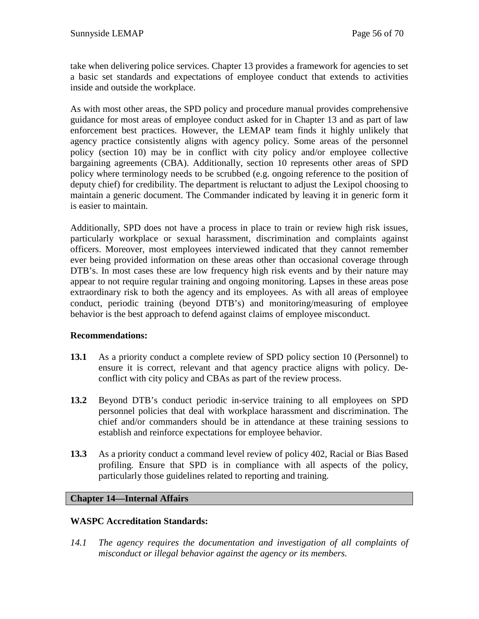take when delivering police services. Chapter 13 provides a framework for agencies to set a basic set standards and expectations of employee conduct that extends to activities inside and outside the workplace.

As with most other areas, the SPD policy and procedure manual provides comprehensive guidance for most areas of employee conduct asked for in Chapter 13 and as part of law enforcement best practices. However, the LEMAP team finds it highly unlikely that agency practice consistently aligns with agency policy. Some areas of the personnel policy (section 10) may be in conflict with city policy and/or employee collective bargaining agreements (CBA). Additionally, section 10 represents other areas of SPD policy where terminology needs to be scrubbed (e.g. ongoing reference to the position of deputy chief) for credibility. The department is reluctant to adjust the Lexipol choosing to maintain a generic document. The Commander indicated by leaving it in generic form it is easier to maintain.

Additionally, SPD does not have a process in place to train or review high risk issues, particularly workplace or sexual harassment, discrimination and complaints against officers. Moreover, most employees interviewed indicated that they cannot remember ever being provided information on these areas other than occasional coverage through DTB's. In most cases these are low frequency high risk events and by their nature may appear to not require regular training and ongoing monitoring. Lapses in these areas pose extraordinary risk to both the agency and its employees. As with all areas of employee conduct, periodic training (beyond DTB's) and monitoring/measuring of employee behavior is the best approach to defend against claims of employee misconduct.

## **Recommendations:**

- **13.1** As a priority conduct a complete review of SPD policy section 10 (Personnel) to ensure it is correct, relevant and that agency practice aligns with policy. Deconflict with city policy and CBAs as part of the review process.
- **13.2** Beyond DTB's conduct periodic in-service training to all employees on SPD personnel policies that deal with workplace harassment and discrimination. The chief and/or commanders should be in attendance at these training sessions to establish and reinforce expectations for employee behavior.
- **13.3** As a priority conduct a command level review of policy 402, Racial or Bias Based profiling. Ensure that SPD is in compliance with all aspects of the policy, particularly those guidelines related to reporting and training.

#### **Chapter 14—Internal Affairs**

#### **WASPC Accreditation Standards:**

*14.1 The agency requires the documentation and investigation of all complaints of misconduct or illegal behavior against the agency or its members.*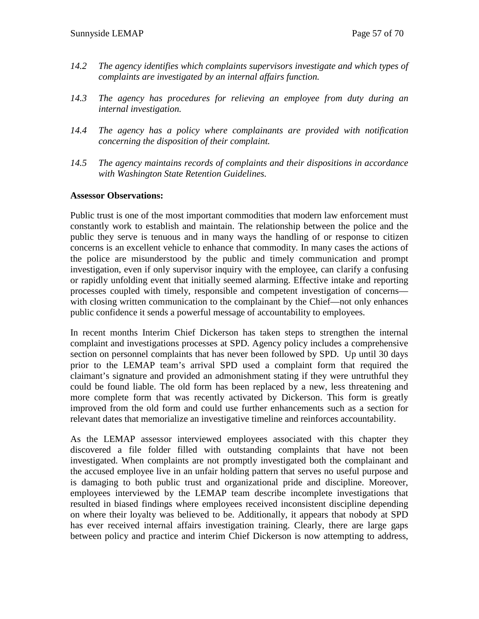- *14.2 The agency identifies which complaints supervisors investigate and which types of complaints are investigated by an internal affairs function.*
- *14.3 The agency has procedures for relieving an employee from duty during an internal investigation.*
- *14.4 The agency has a policy where complainants are provided with notification concerning the disposition of their complaint.*
- *14.5 The agency maintains records of complaints and their dispositions in accordance with Washington State Retention Guidelines.*

#### **Assessor Observations:**

Public trust is one of the most important commodities that modern law enforcement must constantly work to establish and maintain. The relationship between the police and the public they serve is tenuous and in many ways the handling of or response to citizen concerns is an excellent vehicle to enhance that commodity. In many cases the actions of the police are misunderstood by the public and timely communication and prompt investigation, even if only supervisor inquiry with the employee, can clarify a confusing or rapidly unfolding event that initially seemed alarming. Effective intake and reporting processes coupled with timely, responsible and competent investigation of concerns with closing written communication to the complainant by the Chief—not only enhances public confidence it sends a powerful message of accountability to employees.

In recent months Interim Chief Dickerson has taken steps to strengthen the internal complaint and investigations processes at SPD. Agency policy includes a comprehensive section on personnel complaints that has never been followed by SPD. Up until 30 days prior to the LEMAP team's arrival SPD used a complaint form that required the claimant's signature and provided an admonishment stating if they were untruthful they could be found liable. The old form has been replaced by a new, less threatening and more complete form that was recently activated by Dickerson. This form is greatly improved from the old form and could use further enhancements such as a section for relevant dates that memorialize an investigative timeline and reinforces accountability.

As the LEMAP assessor interviewed employees associated with this chapter they discovered a file folder filled with outstanding complaints that have not been investigated. When complaints are not promptly investigated both the complainant and the accused employee live in an unfair holding pattern that serves no useful purpose and is damaging to both public trust and organizational pride and discipline. Moreover, employees interviewed by the LEMAP team describe incomplete investigations that resulted in biased findings where employees received inconsistent discipline depending on where their loyalty was believed to be. Additionally, it appears that nobody at SPD has ever received internal affairs investigation training. Clearly, there are large gaps between policy and practice and interim Chief Dickerson is now attempting to address,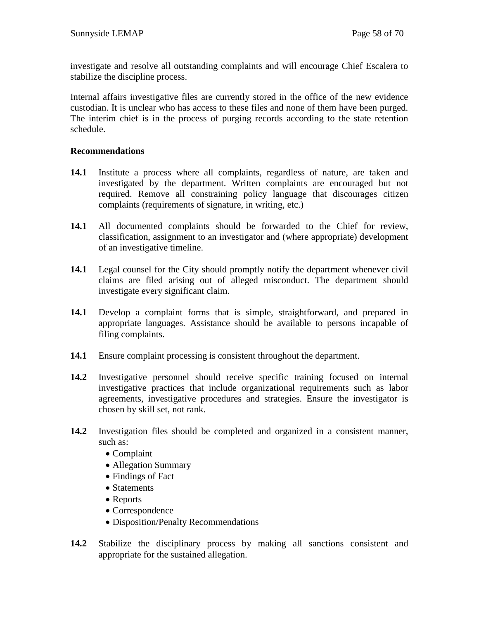investigate and resolve all outstanding complaints and will encourage Chief Escalera to stabilize the discipline process.

Internal affairs investigative files are currently stored in the office of the new evidence custodian. It is unclear who has access to these files and none of them have been purged. The interim chief is in the process of purging records according to the state retention schedule.

## **Recommendations**

- **14.1** Institute a process where all complaints, regardless of nature, are taken and investigated by the department. Written complaints are encouraged but not required. Remove all constraining policy language that discourages citizen complaints (requirements of signature, in writing, etc.)
- **14.1** All documented complaints should be forwarded to the Chief for review, classification, assignment to an investigator and (where appropriate) development of an investigative timeline.
- **14.1** Legal counsel for the City should promptly notify the department whenever civil claims are filed arising out of alleged misconduct. The department should investigate every significant claim.
- **14.1** Develop a complaint forms that is simple, straightforward, and prepared in appropriate languages. Assistance should be available to persons incapable of filing complaints.
- **14.1** Ensure complaint processing is consistent throughout the department.
- **14.2** Investigative personnel should receive specific training focused on internal investigative practices that include organizational requirements such as labor agreements, investigative procedures and strategies. Ensure the investigator is chosen by skill set, not rank.
- **14.2** Investigation files should be completed and organized in a consistent manner, such as:
	- Complaint
	- Allegation Summary
	- Findings of Fact
	- Statements
	- Reports
	- Correspondence
	- Disposition/Penalty Recommendations
- **14.2** Stabilize the disciplinary process by making all sanctions consistent and appropriate for the sustained allegation.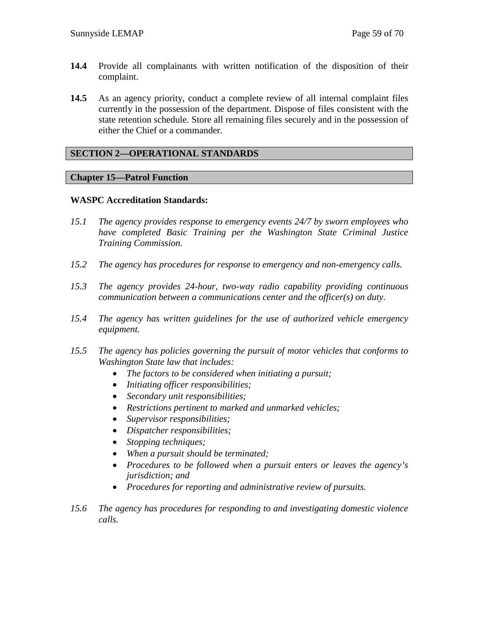- 14.4 Provide all complainants with written notification of the disposition of their complaint.
- **14.5** As an agency priority, conduct a complete review of all internal complaint files currently in the possession of the department. Dispose of files consistent with the state retention schedule. Store all remaining files securely and in the possession of either the Chief or a commander.

## **SECTION 2—OPERATIONAL STANDARDS**

#### **Chapter 15—Patrol Function**

#### **WASPC Accreditation Standards:**

- *15.1 The agency provides response to emergency events 24/7 by sworn employees who have completed Basic Training per the Washington State Criminal Justice Training Commission.*
- *15.2 The agency has procedures for response to emergency and non-emergency calls.*
- *15.3 The agency provides 24-hour, two-way radio capability providing continuous communication between a communications center and the officer(s) on duty.*
- *15.4 The agency has written guidelines for the use of authorized vehicle emergency equipment.*
- *15.5 The agency has policies governing the pursuit of motor vehicles that conforms to Washington State law that includes:*
	- *The factors to be considered when initiating a pursuit;*
	- *Initiating officer responsibilities;*
	- *Secondary unit responsibilities;*
	- *Restrictions pertinent to marked and unmarked vehicles;*
	- *Supervisor responsibilities;*
	- *Dispatcher responsibilities;*
	- *Stopping techniques;*
	- *When a pursuit should be terminated;*
	- *Procedures to be followed when a pursuit enters or leaves the agency's jurisdiction; and*
	- *Procedures for reporting and administrative review of pursuits.*
- *15.6 The agency has procedures for responding to and investigating domestic violence calls.*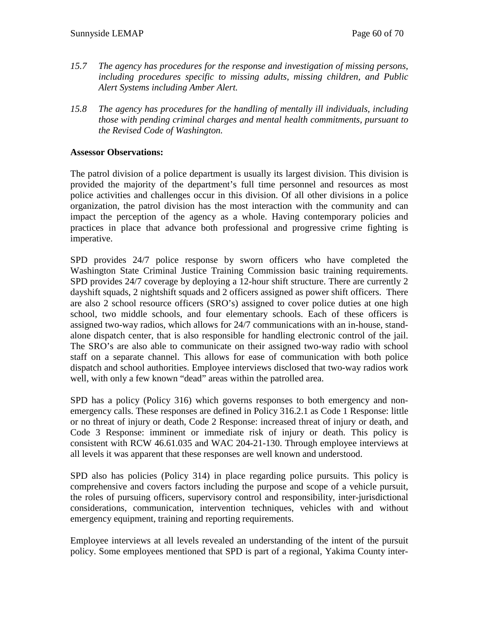- *15.7 The agency has procedures for the response and investigation of missing persons, including procedures specific to missing adults, missing children, and Public Alert Systems including Amber Alert.*
- *15.8 The agency has procedures for the handling of mentally ill individuals, including those with pending criminal charges and mental health commitments, pursuant to the Revised Code of Washington.*

## **Assessor Observations:**

The patrol division of a police department is usually its largest division. This division is provided the majority of the department's full time personnel and resources as most police activities and challenges occur in this division. Of all other divisions in a police organization, the patrol division has the most interaction with the community and can impact the perception of the agency as a whole. Having contemporary policies and practices in place that advance both professional and progressive crime fighting is imperative.

SPD provides 24/7 police response by sworn officers who have completed the Washington State Criminal Justice Training Commission basic training requirements. SPD provides 24/7 coverage by deploying a 12-hour shift structure. There are currently 2 dayshift squads, 2 nightshift squads and 2 officers assigned as power shift officers. There are also 2 school resource officers (SRO's) assigned to cover police duties at one high school, two middle schools, and four elementary schools. Each of these officers is assigned two-way radios, which allows for 24/7 communications with an in-house, standalone dispatch center, that is also responsible for handling electronic control of the jail. The SRO's are also able to communicate on their assigned two-way radio with school staff on a separate channel. This allows for ease of communication with both police dispatch and school authorities. Employee interviews disclosed that two-way radios work well, with only a few known "dead" areas within the patrolled area.

SPD has a policy (Policy 316) which governs responses to both emergency and nonemergency calls. These responses are defined in Policy 316.2.1 as Code 1 Response: little or no threat of injury or death, Code 2 Response: increased threat of injury or death, and Code 3 Response: imminent or immediate risk of injury or death. This policy is consistent with RCW 46.61.035 and WAC 204-21-130. Through employee interviews at all levels it was apparent that these responses are well known and understood.

SPD also has policies (Policy 314) in place regarding police pursuits. This policy is comprehensive and covers factors including the purpose and scope of a vehicle pursuit, the roles of pursuing officers, supervisory control and responsibility, inter-jurisdictional considerations, communication, intervention techniques, vehicles with and without emergency equipment, training and reporting requirements.

Employee interviews at all levels revealed an understanding of the intent of the pursuit policy. Some employees mentioned that SPD is part of a regional, Yakima County inter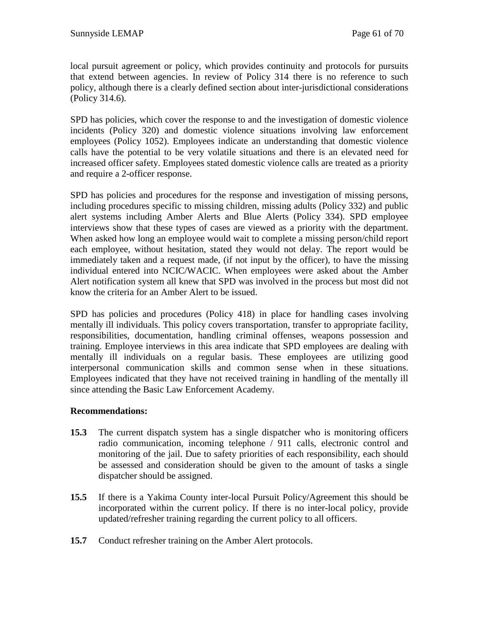local pursuit agreement or policy, which provides continuity and protocols for pursuits that extend between agencies. In review of Policy 314 there is no reference to such policy, although there is a clearly defined section about inter-jurisdictional considerations (Policy 314.6).

SPD has policies, which cover the response to and the investigation of domestic violence incidents (Policy 320) and domestic violence situations involving law enforcement employees (Policy 1052). Employees indicate an understanding that domestic violence calls have the potential to be very volatile situations and there is an elevated need for increased officer safety. Employees stated domestic violence calls are treated as a priority and require a 2-officer response.

SPD has policies and procedures for the response and investigation of missing persons, including procedures specific to missing children, missing adults (Policy 332) and public alert systems including Amber Alerts and Blue Alerts (Policy 334). SPD employee interviews show that these types of cases are viewed as a priority with the department. When asked how long an employee would wait to complete a missing person/child report each employee, without hesitation, stated they would not delay. The report would be immediately taken and a request made, (if not input by the officer), to have the missing individual entered into NCIC/WACIC. When employees were asked about the Amber Alert notification system all knew that SPD was involved in the process but most did not know the criteria for an Amber Alert to be issued.

SPD has policies and procedures (Policy 418) in place for handling cases involving mentally ill individuals. This policy covers transportation, transfer to appropriate facility, responsibilities, documentation, handling criminal offenses, weapons possession and training. Employee interviews in this area indicate that SPD employees are dealing with mentally ill individuals on a regular basis. These employees are utilizing good interpersonal communication skills and common sense when in these situations. Employees indicated that they have not received training in handling of the mentally ill since attending the Basic Law Enforcement Academy.

## **Recommendations:**

- **15.3** The current dispatch system has a single dispatcher who is monitoring officers radio communication, incoming telephone / 911 calls, electronic control and monitoring of the jail. Due to safety priorities of each responsibility, each should be assessed and consideration should be given to the amount of tasks a single dispatcher should be assigned.
- **15.5** If there is a Yakima County inter-local Pursuit Policy/Agreement this should be incorporated within the current policy. If there is no inter-local policy, provide updated/refresher training regarding the current policy to all officers.
- **15.7** Conduct refresher training on the Amber Alert protocols.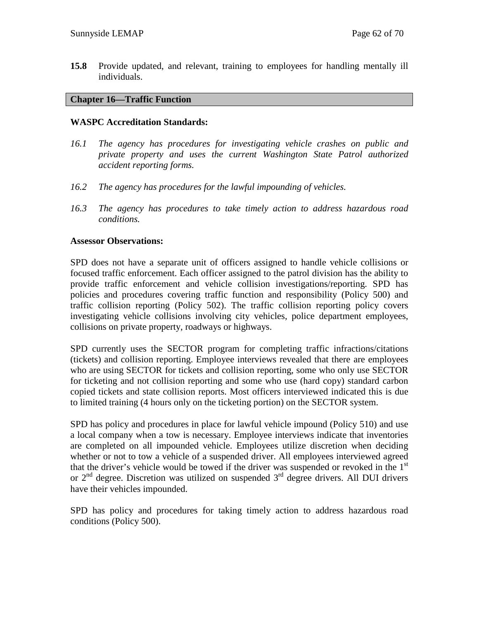**15.8** Provide updated, and relevant, training to employees for handling mentally ill individuals.

## **Chapter 16—Traffic Function**

## **WASPC Accreditation Standards:**

- *16.1 The agency has procedures for investigating vehicle crashes on public and private property and uses the current Washington State Patrol authorized accident reporting forms.*
- *16.2 The agency has procedures for the lawful impounding of vehicles.*
- *16.3 The agency has procedures to take timely action to address hazardous road conditions.*

## **Assessor Observations:**

SPD does not have a separate unit of officers assigned to handle vehicle collisions or focused traffic enforcement. Each officer assigned to the patrol division has the ability to provide traffic enforcement and vehicle collision investigations/reporting. SPD has policies and procedures covering traffic function and responsibility (Policy 500) and traffic collision reporting (Policy 502). The traffic collision reporting policy covers investigating vehicle collisions involving city vehicles, police department employees, collisions on private property, roadways or highways.

SPD currently uses the SECTOR program for completing traffic infractions/citations (tickets) and collision reporting. Employee interviews revealed that there are employees who are using SECTOR for tickets and collision reporting, some who only use SECTOR for ticketing and not collision reporting and some who use (hard copy) standard carbon copied tickets and state collision reports. Most officers interviewed indicated this is due to limited training (4 hours only on the ticketing portion) on the SECTOR system.

SPD has policy and procedures in place for lawful vehicle impound (Policy 510) and use a local company when a tow is necessary. Employee interviews indicate that inventories are completed on all impounded vehicle. Employees utilize discretion when deciding whether or not to tow a vehicle of a suspended driver. All employees interviewed agreed that the driver's vehicle would be towed if the driver was suspended or revoked in the  $1<sup>st</sup>$ or  $2<sup>nd</sup>$  degree. Discretion was utilized on suspended  $3<sup>rd</sup>$  degree drivers. All DUI drivers have their vehicles impounded.

SPD has policy and procedures for taking timely action to address hazardous road conditions (Policy 500).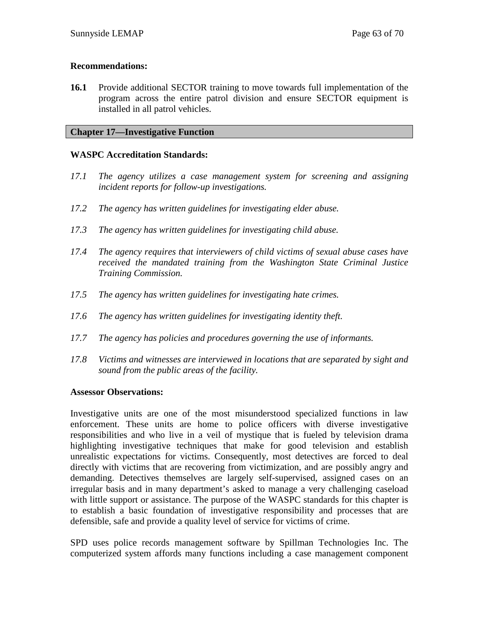## **Recommendations:**

**16.1** Provide additional SECTOR training to move towards full implementation of the program across the entire patrol division and ensure SECTOR equipment is installed in all patrol vehicles.

## **Chapter 17—Investigative Function**

## **WASPC Accreditation Standards:**

- *17.1 The agency utilizes a case management system for screening and assigning incident reports for follow-up investigations.*
- *17.2 The agency has written guidelines for investigating elder abuse.*
- *17.3 The agency has written guidelines for investigating child abuse.*
- *17.4 The agency requires that interviewers of child victims of sexual abuse cases have received the mandated training from the Washington State Criminal Justice Training Commission.*
- *17.5 The agency has written guidelines for investigating hate crimes.*
- *17.6 The agency has written guidelines for investigating identity theft.*
- *17.7 The agency has policies and procedures governing the use of informants.*
- *17.8 Victims and witnesses are interviewed in locations that are separated by sight and sound from the public areas of the facility.*

## **Assessor Observations:**

Investigative units are one of the most misunderstood specialized functions in law enforcement. These units are home to police officers with diverse investigative responsibilities and who live in a veil of mystique that is fueled by television drama highlighting investigative techniques that make for good television and establish unrealistic expectations for victims. Consequently, most detectives are forced to deal directly with victims that are recovering from victimization, and are possibly angry and demanding. Detectives themselves are largely self-supervised, assigned cases on an irregular basis and in many department's asked to manage a very challenging caseload with little support or assistance. The purpose of the WASPC standards for this chapter is to establish a basic foundation of investigative responsibility and processes that are defensible, safe and provide a quality level of service for victims of crime.

SPD uses police records management software by Spillman Technologies Inc. The computerized system affords many functions including a case management component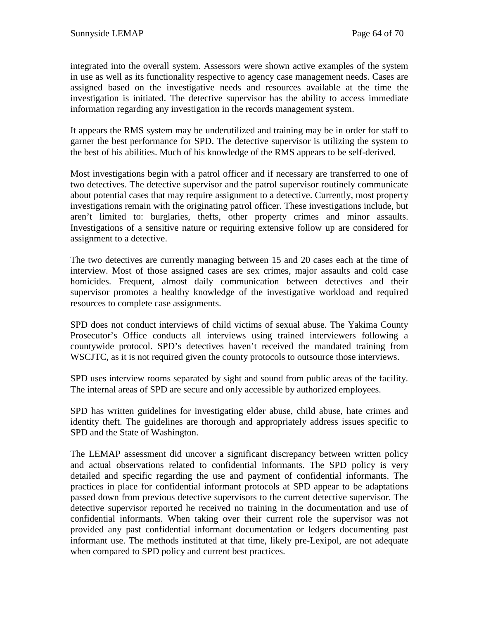integrated into the overall system. Assessors were shown active examples of the system in use as well as its functionality respective to agency case management needs. Cases are assigned based on the investigative needs and resources available at the time the investigation is initiated. The detective supervisor has the ability to access immediate information regarding any investigation in the records management system.

It appears the RMS system may be underutilized and training may be in order for staff to garner the best performance for SPD. The detective supervisor is utilizing the system to the best of his abilities. Much of his knowledge of the RMS appears to be self-derived.

Most investigations begin with a patrol officer and if necessary are transferred to one of two detectives. The detective supervisor and the patrol supervisor routinely communicate about potential cases that may require assignment to a detective. Currently, most property investigations remain with the originating patrol officer. These investigations include, but aren't limited to: burglaries, thefts, other property crimes and minor assaults. Investigations of a sensitive nature or requiring extensive follow up are considered for assignment to a detective.

The two detectives are currently managing between 15 and 20 cases each at the time of interview. Most of those assigned cases are sex crimes, major assaults and cold case homicides. Frequent, almost daily communication between detectives and their supervisor promotes a healthy knowledge of the investigative workload and required resources to complete case assignments.

SPD does not conduct interviews of child victims of sexual abuse. The Yakima County Prosecutor's Office conducts all interviews using trained interviewers following a countywide protocol. SPD's detectives haven't received the mandated training from WSCJTC, as it is not required given the county protocols to outsource those interviews.

SPD uses interview rooms separated by sight and sound from public areas of the facility. The internal areas of SPD are secure and only accessible by authorized employees.

SPD has written guidelines for investigating elder abuse, child abuse, hate crimes and identity theft. The guidelines are thorough and appropriately address issues specific to SPD and the State of Washington.

The LEMAP assessment did uncover a significant discrepancy between written policy and actual observations related to confidential informants. The SPD policy is very detailed and specific regarding the use and payment of confidential informants. The practices in place for confidential informant protocols at SPD appear to be adaptations passed down from previous detective supervisors to the current detective supervisor. The detective supervisor reported he received no training in the documentation and use of confidential informants. When taking over their current role the supervisor was not provided any past confidential informant documentation or ledgers documenting past informant use. The methods instituted at that time, likely pre-Lexipol, are not adequate when compared to SPD policy and current best practices.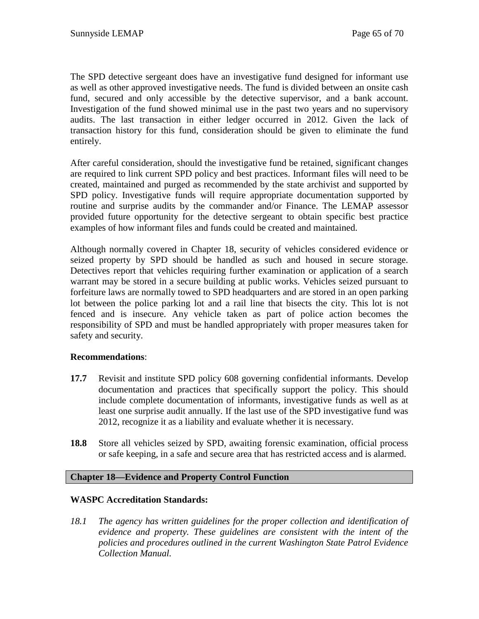The SPD detective sergeant does have an investigative fund designed for informant use as well as other approved investigative needs. The fund is divided between an onsite cash fund, secured and only accessible by the detective supervisor, and a bank account. Investigation of the fund showed minimal use in the past two years and no supervisory audits. The last transaction in either ledger occurred in 2012. Given the lack of transaction history for this fund, consideration should be given to eliminate the fund entirely.

After careful consideration, should the investigative fund be retained, significant changes are required to link current SPD policy and best practices. Informant files will need to be created, maintained and purged as recommended by the state archivist and supported by SPD policy. Investigative funds will require appropriate documentation supported by routine and surprise audits by the commander and/or Finance. The LEMAP assessor provided future opportunity for the detective sergeant to obtain specific best practice examples of how informant files and funds could be created and maintained.

Although normally covered in Chapter 18, security of vehicles considered evidence or seized property by SPD should be handled as such and housed in secure storage. Detectives report that vehicles requiring further examination or application of a search warrant may be stored in a secure building at public works. Vehicles seized pursuant to forfeiture laws are normally towed to SPD headquarters and are stored in an open parking lot between the police parking lot and a rail line that bisects the city. This lot is not fenced and is insecure. Any vehicle taken as part of police action becomes the responsibility of SPD and must be handled appropriately with proper measures taken for safety and security.

## **Recommendations**:

- **17.7** Revisit and institute SPD policy 608 governing confidential informants. Develop documentation and practices that specifically support the policy. This should include complete documentation of informants, investigative funds as well as at least one surprise audit annually. If the last use of the SPD investigative fund was 2012, recognize it as a liability and evaluate whether it is necessary.
- **18.8** Store all vehicles seized by SPD, awaiting forensic examination, official process or safe keeping, in a safe and secure area that has restricted access and is alarmed.

## **Chapter 18—Evidence and Property Control Function**

## **WASPC Accreditation Standards:**

*18.1 The agency has written guidelines for the proper collection and identification of evidence and property. These guidelines are consistent with the intent of the policies and procedures outlined in the current Washington State Patrol Evidence Collection Manual.*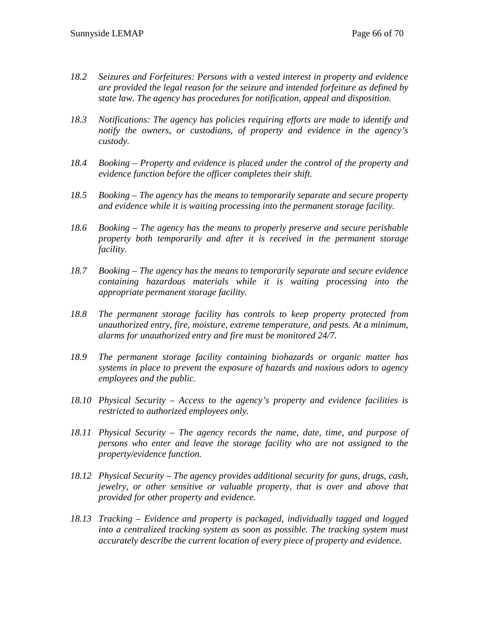- *18.2 Seizures and Forfeitures: Persons with a vested interest in property and evidence are provided the legal reason for the seizure and intended forfeiture as defined by state law. The agency has procedures for notification, appeal and disposition.*
- *18.3 Notifications: The agency has policies requiring efforts are made to identify and notify the owners, or custodians, of property and evidence in the agency's custody.*
- *18.4 Booking – Property and evidence is placed under the control of the property and evidence function before the officer completes their shift.*
- *18.5 Booking – The agency has the means to temporarily separate and secure property and evidence while it is waiting processing into the permanent storage facility.*
- *18.6 Booking – The agency has the means to properly preserve and secure perishable property both temporarily and after it is received in the permanent storage facility.*
- *18.7 Booking – The agency has the means to temporarily separate and secure evidence containing hazardous materials while it is waiting processing into the appropriate permanent storage facility.*
- *18.8 The permanent storage facility has controls to keep property protected from unauthorized entry, fire, moisture, extreme temperature, and pests. At a minimum, alarms for unauthorized entry and fire must be monitored 24/7.*
- *18.9 The permanent storage facility containing biohazards or organic matter has systems in place to prevent the exposure of hazards and noxious odors to agency employees and the public.*
- *18.10 Physical Security – Access to the agency's property and evidence facilities is restricted to authorized employees only.*
- *18.11 Physical Security – The agency records the name, date, time, and purpose of persons who enter and leave the storage facility who are not assigned to the property/evidence function.*
- *18.12 Physical Security – The agency provides additional security for guns, drugs, cash, jewelry, or other sensitive or valuable property, that is over and above that provided for other property and evidence.*
- *18.13 Tracking – Evidence and property is packaged, individually tagged and logged into a centralized tracking system as soon as possible. The tracking system must accurately describe the current location of every piece of property and evidence.*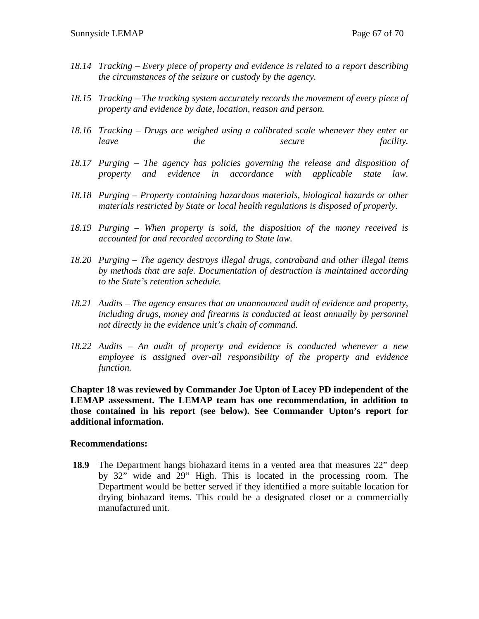- *18.14 Tracking – Every piece of property and evidence is related to a report describing the circumstances of the seizure or custody by the agency.*
- *18.15 Tracking – The tracking system accurately records the movement of every piece of property and evidence by date, location, reason and person.*
- *18.16 Tracking – Drugs are weighed using a calibrated scale whenever they enter or leave the secure facility.*
- *18.17 Purging – The agency has policies governing the release and disposition of property and evidence in accordance with applicable state law.*
- *18.18 Purging – Property containing hazardous materials, biological hazards or other materials restricted by State or local health regulations is disposed of properly.*
- *18.19 Purging – When property is sold, the disposition of the money received is accounted for and recorded according to State law.*
- *18.20 Purging – The agency destroys illegal drugs, contraband and other illegal items by methods that are safe. Documentation of destruction is maintained according to the State's retention schedule.*
- *18.21 Audits – The agency ensures that an unannounced audit of evidence and property, including drugs, money and firearms is conducted at least annually by personnel not directly in the evidence unit's chain of command.*
- *18.22 Audits – An audit of property and evidence is conducted whenever a new employee is assigned over-all responsibility of the property and evidence function.*

**Chapter 18 was reviewed by Commander Joe Upton of Lacey PD independent of the LEMAP assessment. The LEMAP team has one recommendation, in addition to those contained in his report (see below). See Commander Upton's report for additional information.** 

#### **Recommendations:**

**18.9** The Department hangs biohazard items in a vented area that measures 22" deep by 32" wide and 29" High. This is located in the processing room. The Department would be better served if they identified a more suitable location for drying biohazard items. This could be a designated closet or a commercially manufactured unit.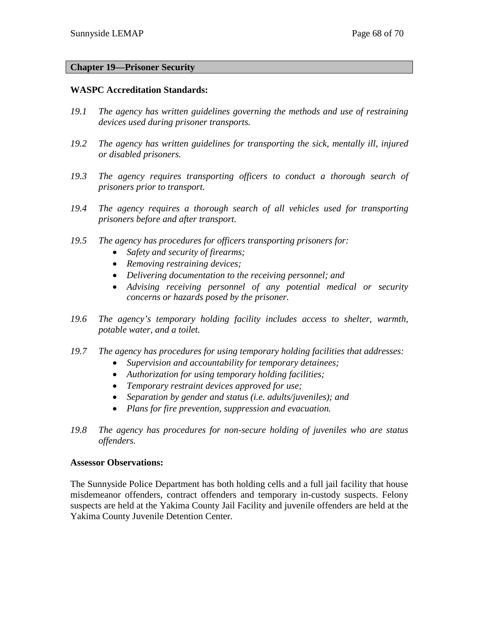#### **Chapter 19—Prisoner Security**

#### **WASPC Accreditation Standards:**

- *19.1 The agency has written guidelines governing the methods and use of restraining devices used during prisoner transports.*
- *19.2 The agency has written guidelines for transporting the sick, mentally ill, injured or disabled prisoners.*
- *19.3 The agency requires transporting officers to conduct a thorough search of prisoners prior to transport.*
- *19.4 The agency requires a thorough search of all vehicles used for transporting prisoners before and after transport.*
- *19.5 The agency has procedures for officers transporting prisoners for:*
	- *Safety and security of firearms;*
	- *Removing restraining devices;*
	- *Delivering documentation to the receiving personnel; and*
	- *Advising receiving personnel of any potential medical or security concerns or hazards posed by the prisoner.*
- *19.6 The agency's temporary holding facility includes access to shelter, warmth, potable water, and a toilet.*
- *19.7 The agency has procedures for using temporary holding facilities that addresses:*
	- *Supervision and accountability for temporary detainees;*
	- *Authorization for using temporary holding facilities;*
	- *Temporary restraint devices approved for use;*
	- *Separation by gender and status (i.e. adults/juveniles); and*
	- *Plans for fire prevention, suppression and evacuation.*
- *19.8 The agency has procedures for non-secure holding of juveniles who are status offenders.*

#### **Assessor Observations:**

The Sunnyside Police Department has both holding cells and a full jail facility that house misdemeanor offenders, contract offenders and temporary in-custody suspects. Felony suspects are held at the Yakima County Jail Facility and juvenile offenders are held at the Yakima County Juvenile Detention Center.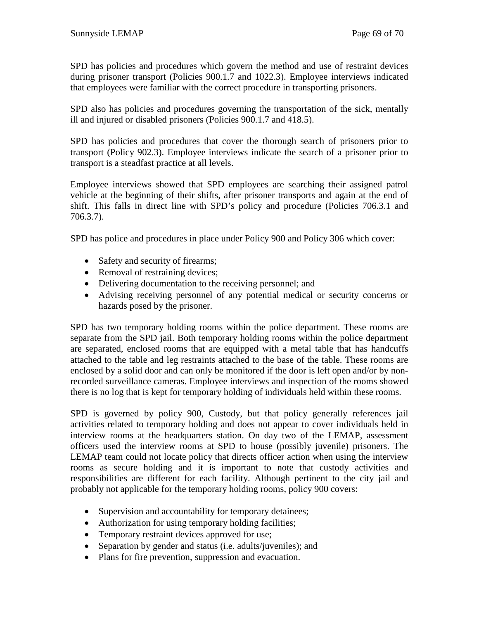SPD has policies and procedures which govern the method and use of restraint devices during prisoner transport (Policies 900.1.7 and 1022.3). Employee interviews indicated that employees were familiar with the correct procedure in transporting prisoners.

SPD also has policies and procedures governing the transportation of the sick, mentally ill and injured or disabled prisoners (Policies 900.1.7 and 418.5).

SPD has policies and procedures that cover the thorough search of prisoners prior to transport (Policy 902.3). Employee interviews indicate the search of a prisoner prior to transport is a steadfast practice at all levels.

Employee interviews showed that SPD employees are searching their assigned patrol vehicle at the beginning of their shifts, after prisoner transports and again at the end of shift. This falls in direct line with SPD's policy and procedure (Policies 706.3.1 and 706.3.7).

SPD has police and procedures in place under Policy 900 and Policy 306 which cover:

- Safety and security of firearms;
- Removal of restraining devices;
- Delivering documentation to the receiving personnel; and
- Advising receiving personnel of any potential medical or security concerns or hazards posed by the prisoner.

SPD has two temporary holding rooms within the police department. These rooms are separate from the SPD jail. Both temporary holding rooms within the police department are separated, enclosed rooms that are equipped with a metal table that has handcuffs attached to the table and leg restraints attached to the base of the table. These rooms are enclosed by a solid door and can only be monitored if the door is left open and/or by nonrecorded surveillance cameras. Employee interviews and inspection of the rooms showed there is no log that is kept for temporary holding of individuals held within these rooms.

SPD is governed by policy 900, Custody, but that policy generally references jail activities related to temporary holding and does not appear to cover individuals held in interview rooms at the headquarters station. On day two of the LEMAP, assessment officers used the interview rooms at SPD to house (possibly juvenile) prisoners. The LEMAP team could not locate policy that directs officer action when using the interview rooms as secure holding and it is important to note that custody activities and responsibilities are different for each facility. Although pertinent to the city jail and probably not applicable for the temporary holding rooms, policy 900 covers:

- Supervision and accountability for temporary detainees;
- Authorization for using temporary holding facilities;
- Temporary restraint devices approved for use;
- Separation by gender and status (i.e. adults/juveniles); and
- Plans for fire prevention, suppression and evacuation.